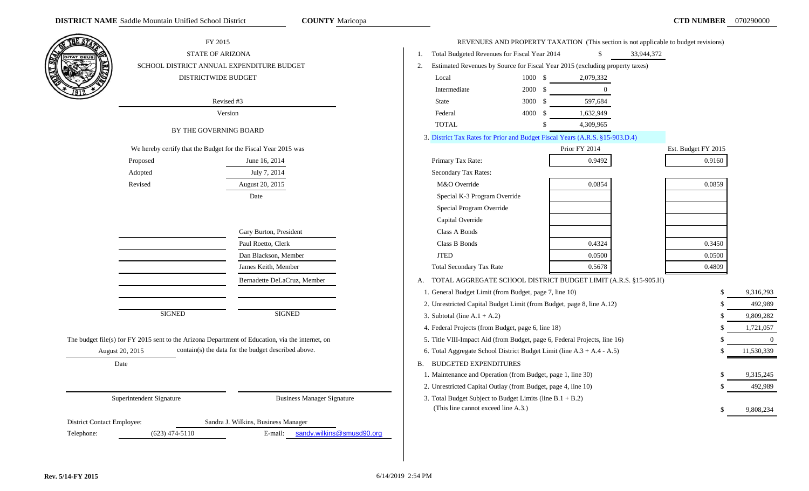|                            | FY 2015                                                        |                                                                                                  |                                 | REVENUES AND PROPERTY TAXATION (This section is not applicable to budget revisions) |                |            |                     |                |
|----------------------------|----------------------------------------------------------------|--------------------------------------------------------------------------------------------------|---------------------------------|-------------------------------------------------------------------------------------|----------------|------------|---------------------|----------------|
|                            | STATE OF ARIZONA                                               |                                                                                                  | 1.                              | Total Budgeted Revenues for Fiscal Year 2014                                        | <sup>\$</sup>  | 33,944,372 |                     |                |
|                            |                                                                | SCHOOL DISTRICT ANNUAL EXPENDITURE BUDGET                                                        | 2.                              | Estimated Revenues by Source for Fiscal Year 2015 (excluding property taxes)        |                |            |                     |                |
|                            | DISTRICTWIDE BUDGET                                            |                                                                                                  | Local                           | 1000 \$                                                                             | 2,079,332      |            |                     |                |
|                            |                                                                |                                                                                                  | Intermediate                    | 2000 \$                                                                             | $\overline{0}$ |            |                     |                |
|                            |                                                                | Revised #3                                                                                       | <b>State</b>                    | $3000 \text{ }$ \$                                                                  | 597,684        |            |                     |                |
|                            |                                                                | Version                                                                                          | Federal                         | 4000 \$                                                                             | 1,632,949      |            |                     |                |
|                            | BY THE GOVERNING BOARD                                         |                                                                                                  | <b>TOTAL</b>                    |                                                                                     | 4,309,965      |            |                     |                |
|                            |                                                                |                                                                                                  |                                 | 3. District Tax Rates for Prior and Budget Fiscal Years (A.R.S. §15-903.D.4)        |                |            |                     |                |
|                            | We hereby certify that the Budget for the Fiscal Year 2015 was |                                                                                                  |                                 |                                                                                     | Prior FY 2014  |            | Est. Budget FY 2015 |                |
|                            | Proposed                                                       | June 16, 2014                                                                                    | Primary Tax Rate:               |                                                                                     | 0.9492         |            | 0.9160              |                |
|                            | Adopted                                                        | July 7, 2014                                                                                     | Secondary Tax Rates:            |                                                                                     |                |            |                     |                |
|                            | Revised                                                        | August 20, 2015                                                                                  | M&O Override                    |                                                                                     | 0.0854         |            | 0.0859              |                |
|                            |                                                                | Date                                                                                             |                                 | Special K-3 Program Override                                                        |                |            |                     |                |
|                            |                                                                |                                                                                                  |                                 | Special Program Override                                                            |                |            |                     |                |
|                            |                                                                |                                                                                                  | Capital Override                |                                                                                     |                |            |                     |                |
|                            |                                                                | Gary Burton, President                                                                           | Class A Bonds                   |                                                                                     |                |            |                     |                |
|                            |                                                                | Paul Roetto, Clerk                                                                               | Class B Bonds                   |                                                                                     | 0.4324         |            | 0.3450              |                |
|                            |                                                                | Dan Blackson, Member                                                                             | <b>JTED</b>                     |                                                                                     | 0.0500         |            | 0.0500              |                |
|                            |                                                                | James Keith, Member                                                                              |                                 | Total Secondary Tax Rate                                                            | 0.5678         |            | 0.4809              |                |
|                            |                                                                | Bernadette DeLaCruz, Member                                                                      | А.                              | TOTAL AGGREGATE SCHOOL DISTRICT BUDGET LIMIT (A.R.S. §15-905.H)                     |                |            |                     |                |
|                            |                                                                |                                                                                                  |                                 | 1. General Budget Limit (from Budget, page 7, line 10)                              |                |            | \$                  | 9,316,293      |
|                            |                                                                |                                                                                                  |                                 | 2. Unrestricted Capital Budget Limit (from Budget, page 8, line A.12)               |                |            | £.                  | 492,989        |
|                            | <b>SIGNED</b>                                                  | <b>SIGNED</b>                                                                                    | 3. Subtotal (line $A.1 + A.2$ ) |                                                                                     |                |            | \$                  | 9,809,282      |
|                            |                                                                |                                                                                                  |                                 | 4. Federal Projects (from Budget, page 6, line 18)                                  |                |            | \$                  | 1,721,057      |
|                            |                                                                | The budget file(s) for FY 2015 sent to the Arizona Department of Education, via the internet, on |                                 | 5. Title VIII-Impact Aid (from Budget, page 6, Federal Projects, line 16)           |                |            |                     | $\overline{0}$ |
|                            | August 20, 2015                                                | contain(s) the data for the budget described above.                                              |                                 | 6. Total Aggregate School District Budget Limit (line A.3 + A.4 - A.5)              |                |            | \$                  | 11,530,339     |
|                            | Date                                                           |                                                                                                  |                                 | <b>B. BUDGETED EXPENDITURES</b>                                                     |                |            |                     |                |
|                            |                                                                |                                                                                                  |                                 | 1. Maintenance and Operation (from Budget, page 1, line 30)                         |                |            |                     | 9,315,245      |
|                            |                                                                |                                                                                                  |                                 | 2. Unrestricted Capital Outlay (from Budget, page 4, line 10)                       |                |            |                     | 492,989        |
|                            | Superintendent Signature                                       | <b>Business Manager Signature</b>                                                                |                                 | 3. Total Budget Subject to Budget Limits (line B.1 + B.2)                           |                |            |                     |                |
|                            |                                                                |                                                                                                  |                                 | (This line cannot exceed line A.3.)                                                 |                |            |                     | 9,808,234      |
| District Contact Employee: |                                                                | Sandra J. Wilkins, Business Manager                                                              |                                 |                                                                                     |                |            |                     |                |
| Telephone:                 | $(623)$ 474-5110                                               | sandy.wilkins@smusd90.org<br>E-mail:                                                             |                                 |                                                                                     |                |            |                     |                |
|                            |                                                                |                                                                                                  |                                 |                                                                                     |                |            |                     |                |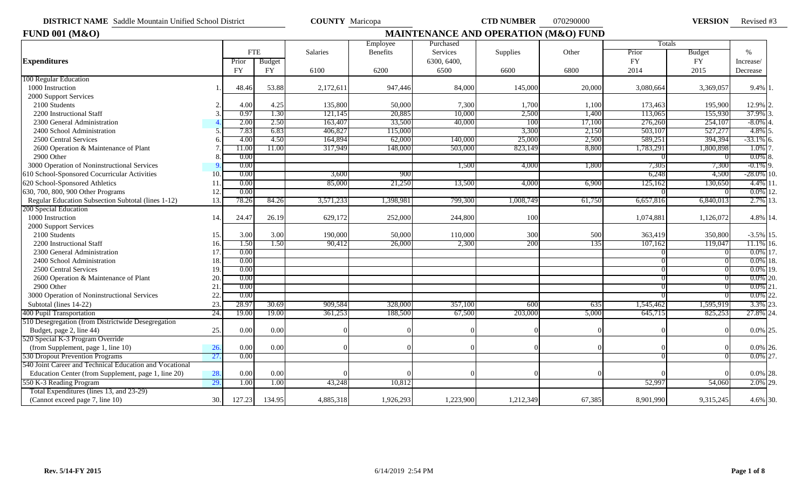**DISTRICT NAME** Saddle Mountain Unified School District **COUNTY** Maricopa **CTD NUMBER** 070290000 **VERSION** 

VERSION Revised #3

| <b>FUND 001 (M&amp;O)</b>                               |     | MAINTENANCE AND OPERATION (M&O) FUND |           |           |           |             |           |        |           |               |               |
|---------------------------------------------------------|-----|--------------------------------------|-----------|-----------|-----------|-------------|-----------|--------|-----------|---------------|---------------|
|                                                         |     |                                      |           |           | Employee  | Purchased   |           |        | Totals    |               |               |
|                                                         |     | <b>FTE</b>                           |           | Salaries  | Benefits  | Services    | Supplies  | Other  | Prior     | <b>Budget</b> | $\%$          |
| <b>Expenditures</b>                                     |     | Prior                                | Budget    |           |           | 6300, 6400, |           |        | <b>FY</b> | <b>FY</b>     | Increase/     |
|                                                         |     | <b>FY</b>                            | <b>FY</b> | 6100      | 6200      | 6500        | 6600      | 6800   | 2014      | 2015          | Decrease      |
| 100 Regular Education                                   |     |                                      |           |           |           |             |           |        |           |               |               |
| 1000 Instruction                                        |     | 48.46                                | 53.88     | 2,172,611 | 947,446   | 84,000      | 145,000   | 20,000 | 3.080.664 | 3,369,057     | $9.4\%$ 1.    |
| 2000 Support Services                                   |     |                                      |           |           |           |             |           |        |           |               |               |
| 2100 Students                                           |     | 4.00                                 | 4.25      | 135,800   | 50,000    | 7,300       | 1,700     | 1,100  | 173,463   | 195,900       | 12.9% 2.      |
| 2200 Instructional Staff                                |     | 0.97                                 | 1.30      | 121,145   | 20,885    | 10,000      | 2,500     | 1,400  | 113,065   | 155,930       | 37.9%         |
| 2300 General Administration                             |     | 2.00                                 | 2.50      | 163,407   | 33,500    | 40,000      | 100       | 17,100 | 276,260   | 254,107       | $-8.0\%$      |
| 2400 School Administration                              |     | 7.83                                 | 6.83      | 406,82    | 115,000   |             | 3,300     | 2,150  | 503,10    | 527,277       | 4.8%          |
| 2500 Central Services                                   |     | 4.00                                 | 4.50      | 164,894   | 62,000    | 140,000     | 25,000    | 2,500  | 589,251   | 394,394       | $-33.1\%$ 6.  |
| 2600 Operation & Maintenance of Plant                   |     | 11.00                                | 11.00     | 317,949   | 148,000   | 503,000     | 823,149   | 8,800  | 1,783,291 | 1,800,898     | 1.0%          |
| 2900 Other                                              |     | 0.00                                 |           |           |           |             |           |        |           |               | $0.0\%$       |
| 3000 Operation of Noninstructional Services             |     | 0.00                                 |           |           |           | 1,500       | 4,000     | 1,800  | 7,305     | 7,300         | $-0.1\%$ 9.   |
| 610 School-Sponsored Cocurricular Activities            | 10  | 0.00                                 |           | 3,600     | 900       |             |           |        | 6,248     | 4,500         | $-28.0\%$ 10. |
| 620 School-Sponsored Athletics                          |     | 0.00                                 |           | 85,000    | 21,250    | 13,500      | 4,000     | 6,900  | 125,162   | 130,650       | $4.4\%$ 11    |
| 630, 700, 800, 900 Other Programs                       | 12  | 0.00                                 |           |           |           |             |           |        |           |               | $0.0\%$ 12.   |
| Regular Education Subsection Subtotal (lines 1-12)      | 13. | 78.26                                | 84.26     | 3,571,233 | 1,398,981 | 799,300     | 1,008,749 | 61,750 | 6,657,816 | 6,840,013     | 2.7% 13.      |
| 200 Special Education                                   |     |                                      |           |           |           |             |           |        |           |               |               |
| 1000 Instruction                                        | 14. | 24.47                                | 26.19     | 629,172   | 252,000   | 244,800     | 100       |        | 1,074,881 | 1,126,072     | 4.8% 14.      |
| 2000 Support Services                                   |     |                                      |           |           |           |             |           |        |           |               |               |
| 2100 Students                                           | 15. | 3.00                                 | 3.00      | 190,000   | 50,000    | 110,000     | 300       | 500    | 363,419   | 350,800       | $-3.5\%$ 15.  |
| 2200 Instructional Staff                                | 16. | 1.50                                 | 1.50      | 90,412    | 26,000    | 2,300       | 200       | 135    | 107,162   | 119,047       | 11.1% 16.     |
| 2300 General Administration                             | 17  | 0.00                                 |           |           |           |             |           |        |           |               | $0.0\%$ 17.   |
| 2400 School Administration                              | 18  | 0.00                                 |           |           |           |             |           |        |           |               | $0.0\%$ 18.   |
| 2500 Central Services                                   | 19  | 0.00                                 |           |           |           |             |           |        |           |               | $0.0\%$ 19.   |
| 2600 Operation & Maintenance of Plant                   | 20  | 0.00                                 |           |           |           |             |           |        |           |               | $0.0\%$ 20.   |
| 2900 Other                                              | 21  | 0.00                                 |           |           |           |             |           |        |           |               | $0.0\%$ 21    |
| 3000 Operation of Noninstructional Services             | 22  | 0.00                                 |           |           |           |             |           |        |           |               | 0.0% 22.      |
| Subtotal (lines 14-22)                                  | 23  | 28.97                                | 30.69     | 909,584   | 328,000   | 357,100     | 600       | 635    | 1,545,462 | 1,595,919     | 3.3% 23.      |
| 400 Pupil Transportation                                | 24. | 19.00                                | 19.00     | 361,253   | 188,500   | 67,500      | 203,000   | 5,000  | 645,715   | 825,253       | 27.8% 24.     |
| 510 Desegregation (from Districtwide Desegregation      |     |                                      |           |           |           |             |           |        |           |               |               |
| Budget, page 2, line 44)                                | 25. | 0.00                                 | 0.00      |           |           |             |           |        |           |               | 0.0% 25.      |
| 520 Special K-3 Program Override                        |     |                                      |           |           |           |             |           |        |           |               |               |
| (from Supplement, page 1, line 10)                      | 26. | 0.00                                 | 0.00      |           |           |             |           |        |           |               | $0.0\%$ 26.   |
| 530 Dropout Prevention Programs                         | 27. | 0.00                                 |           |           |           |             |           |        |           |               | $0.0\%$ 27.   |
| 540 Joint Career and Technical Education and Vocational |     |                                      |           |           |           |             |           |        |           |               |               |
| Education Center (from Supplement, page 1, line 20)     | 28. | 0.00                                 | 0.00      |           |           |             |           |        |           |               | $0.0\%$ 28.   |
| 550 K-3 Reading Program                                 | 29. | 1.00                                 | 1.00      | 43,248    | 10,812    |             |           |        | 52,997    | 54,060        | 2.0% 29.      |
| Total Expenditures (lines 13, and 23-29)                |     |                                      |           |           |           |             |           |        |           |               |               |
| (Cannot exceed page 7, line 10)                         | 30. | 127.23                               | 134.95    | 4,885,318 | 1,926,293 | 1,223,900   | 1,212,349 | 67,385 | 8,901,990 | 9,315,245     | 4.6% 30.      |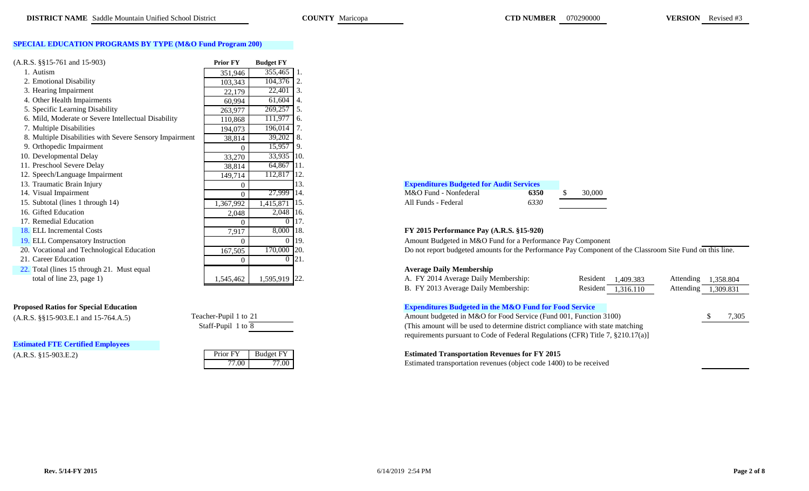### **SPECIAL EDUCATION PROGRAMS BY TYPE (M&O Fund Program 200)**

| $(A.R.S. \$ § 15-761 and 15-903)                        | <b>Prior FY</b> | <b>Budget FY</b> |                                                               |      |  |
|---------------------------------------------------------|-----------------|------------------|---------------------------------------------------------------|------|--|
| 1. Autism                                               | 351,946         | 355,465          |                                                               |      |  |
| 2. Emotional Disability                                 | 103,343         | 104,376          |                                                               |      |  |
| 3. Hearing Impairment                                   | 22,179          | 22,401           |                                                               |      |  |
| 4. Other Health Impairments                             | 60,994          | $61,604$ 4.      |                                                               |      |  |
| 5. Specific Learning Disability                         | 263,977         | 269,257 5.       |                                                               |      |  |
| 6. Mild, Moderate or Severe Intellectual Disability     | 110,868         | $111,977$ 6.     |                                                               |      |  |
| 7. Multiple Disabilities                                | 194,073         | 196,014          |                                                               |      |  |
| 8. Multiple Disabilities with Severe Sensory Impairment | 38,814          | $39,202$ 8.      |                                                               |      |  |
| 9. Orthopedic Impairment                                | $\Omega$        | 15,957           |                                                               |      |  |
| 10. Developmental Delay                                 | 33,270          | 33,935 10.       |                                                               |      |  |
| 11. Preschool Severe Delay                              | 38,814          | 64,867           |                                                               |      |  |
| 12. Speech/Language Impairment                          | 149,714         | 112,817          |                                                               |      |  |
| 13. Traumatic Brain Injury                              | $\theta$        |                  | <b>Expenditures Budgeted for Audit Services</b>               |      |  |
| 14. Visual Impairment                                   | $\Omega$        | 27,999           | M&O Fund - Nonfederal                                         | 6350 |  |
| 15. Subtotal (lines 1 through 14)                       | 1,367,992       | 1,415,871        | All Funds - Federal                                           | 6330 |  |
| 16. Gifted Education                                    | 2,048           | 2,048 16.        |                                                               |      |  |
| 17. Remedial Education                                  |                 | $\Omega$         |                                                               |      |  |
| 18. ELL Incremental Costs                               | 7,917           | 8,000 18.        | FY 2015 Performance Pay (A.R.S. §15-920)                      |      |  |
| 19. ELL Compensatory Instruction                        | 0               | $\Omega$         | Amount Budgeted in M&O Fund for a Performance Pay Compone     |      |  |
| 20. Vocational and Technological Education              | 167,505         | 170,000 20.      | Do not report budgeted amounts for the Performance Pay Compor |      |  |
| 21. Career Education                                    | 0               | $\overline{0}$   |                                                               |      |  |
| 22. Total (lines 15 through 21. Must equal              |                 |                  | <b>Average Daily Membership</b>                               |      |  |
| total of line 23, page 1)                               | 1,545,462       | 1,595,919 22.    | A. FY 2014 Average Daily Membership:                          |      |  |

### **Proposed Ratios for Special Education**

 $(A.R.S. \S$ §15-903.E.1 and 15-764.A.5)

**Estimated FTE Certified Employees**

| 714    | 112,817 112. |             |
|--------|--------------|-------------|
| 0      |              | 13.         |
| 0      | 27,999       | 14.         |
| 992    | 1,415,871    | 15.         |
| 048    | 2,048        | 16.         |
| 0      | 0            | 17.         |
| 917    | 8,000        | 18.         |
| 0      | 0            | 19.         |
| 505    | 170,000      | 20.         |
| $\sim$ | $\Omega$     | $\bigcap$ 1 |

| Teacher-Pupil 1 to 21 |  |  |
|-----------------------|--|--|
| Staff-Pupil 1 to 8    |  |  |

| Prior FY | <b>Budget FY</b> |
|----------|------------------|
| 77 OO    | 77 OO            |

| <b>Expenditures Budgeted for Audit Services</b> |      |        |
|-------------------------------------------------|------|--------|
| M&O Fund - Nonfederal                           | 6350 | 30,000 |
| All Funds - Federal                             | 6330 |        |

## 18. ELL Incremental Costs 7,917 8,000 18. **FY 2015 Performance Pay (A.R.S. §15-920)**

Amount Budgeted in M&O Fund for a Performance Pay Component

Do not report budgeted amounts for the Performance Pay Component of the Classroom Site Fund on this line.

## **Average Daily Membership**

| total of line 23, page 1)            | 1,595,919 22.<br>1,545,462 | A. FY 2014 Average Daily Membership:                              | Resident                                                          | 1.409.383 | Attending $1,358.804$ |           |       |
|--------------------------------------|----------------------------|-------------------------------------------------------------------|-------------------------------------------------------------------|-----------|-----------------------|-----------|-------|
|                                      |                            | B. FY 2013 Average Daily Membership:                              | Resident                                                          | 1,316.110 | Attending             | 1,309.831 |       |
| sed Ratios for Special Education     |                            | <b>Expenditures Budgeted in the M&amp;O Fund for Food Service</b> |                                                                   |           |                       |           |       |
| S. $\S$ \$15-903.E.1 and 15-764.A.5) | Teacher-Pupil 1 to 21      |                                                                   | Amount budgeted in M&O for Food Service (Fund 001, Function 3100) |           |                       |           | 7,305 |
|                                      |                            |                                                                   |                                                                   |           |                       |           |       |

(This amount will be used to determine district compliance with state matching requirements pursuant to Code of Federal Regulations (CFR) Title 7, §210.17(a)]

## (A.R.S. §15-903.E.2) Prior FY Budget FY **Estimated Transportation Revenues for FY 2015**

Estimated transportation revenues (object code 1400) to be received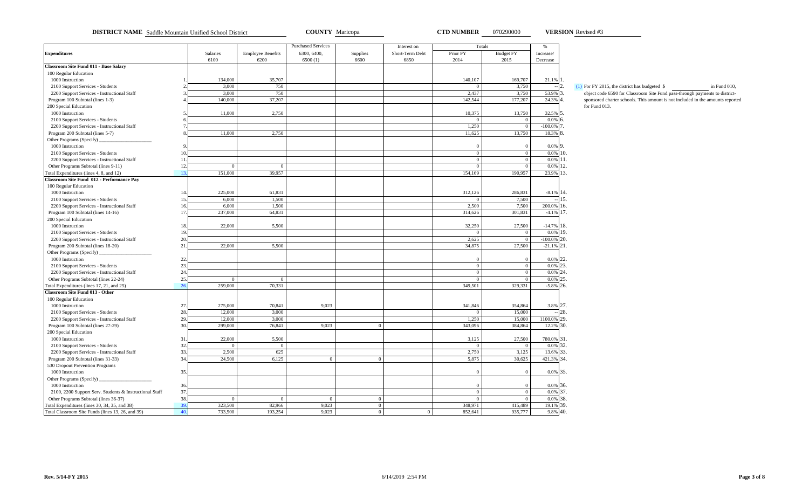**DISTRICT NAME** Saddle Mountain Unified School District **COUNTY** Maricopa **CTD NUMBER** 070290000 **VERSION** Revised #3

**VERSION** Revised #3

|                                                         |     |          |                          | <b>Purchased Services</b> |                | Interest on     |                | Totals           | $\%$           |                                                                                   |
|---------------------------------------------------------|-----|----------|--------------------------|---------------------------|----------------|-----------------|----------------|------------------|----------------|-----------------------------------------------------------------------------------|
| <b>Expenditures</b>                                     |     | Salaries | <b>Employee Benefits</b> | 6300, 6400,               | Supplies       | Short-Term Debt | Prior FY       | <b>Budget FY</b> | Increase/      |                                                                                   |
|                                                         |     | 6100     | 6200                     | 6500(1)                   | 6600           | 6850            | 2014           | 2015             | Decrease       |                                                                                   |
| Classroom Site Fund 011 - Base Salary                   |     |          |                          |                           |                |                 |                |                  |                |                                                                                   |
| 100 Regular Education                                   |     |          |                          |                           |                |                 |                |                  |                |                                                                                   |
| 1000 Instruction                                        |     | 134,000  | 35,707                   |                           |                |                 | 140,107        | 169,707          | 21.1% 1.       |                                                                                   |
| 2100 Support Services - Students                        |     | 3,000    | 750                      |                           |                |                 | $\Omega$       | 3,750            |                | $\overline{2}$<br>$(1)$ For FY 2015, the district has budgeted \$<br>in Fund 010. |
| 2200 Support Services - Instructional Staff             |     | 3,000    | 750                      |                           |                |                 | 2,437          | 3,750            | 53.9% 3.       | object code 6590 for Classroom Site Fund pass-through payments to district-       |
| Program 100 Subtotal (lines 1-3)                        |     | 140,000  | 37,207                   |                           |                |                 | 142,544        | 177,207          | 24.3% 4.       | sponsored charter schools. This amount is not included in the amounts repor       |
| 200 Special Education                                   |     |          |                          |                           |                |                 |                |                  |                | for Fund 013.                                                                     |
| 1000 Instruction                                        |     | 11,000   | 2,750                    |                           |                |                 | 10,375         | 13,750           | 32.5% 5.       |                                                                                   |
| 2100 Support Services - Students                        |     |          |                          |                           |                |                 | $\Omega$       | $\theta$         | $0.0\%$ 6.     |                                                                                   |
| 2200 Support Services - Instructional Staff             |     |          |                          |                           |                |                 | 1,250          | $\Omega$         | $-100.0\%$ 7.  |                                                                                   |
| Program 200 Subtotal (lines 5-7)                        |     | 11,000   | 2,750                    |                           |                |                 | 11,625         | 13,750           | 18.3% 8.       |                                                                                   |
| Other Programs (Specify)                                |     |          |                          |                           |                |                 |                |                  |                |                                                                                   |
| 1000 Instruction                                        |     |          |                          |                           |                |                 | $\Omega$       | $\overline{0}$   | 0.0% 9.        |                                                                                   |
| 2100 Support Services - Students                        | 10  |          |                          |                           |                |                 | $\mathbf{0}$   | $\overline{0}$   | $0.0\%$ 10.    |                                                                                   |
| 2200 Support Services - Instructional Staff             | 11. |          |                          |                           |                |                 | $\overline{0}$ | $\Omega$         | $0.0\%$ 11.    |                                                                                   |
| Other Programs Subtotal (lines 9-11)                    | 12. | $\Omega$ | $\Omega$                 |                           |                |                 | $\Omega$       | $\Omega$         | 0.0% 12.       |                                                                                   |
| fotal Expenditures (lines 4, 8, and 12)                 | 13. | 151,000  | 39,957                   |                           |                |                 | 154,169        | 190,957          | 23.9% 13.      |                                                                                   |
| Classroom Site Fund 012 - Performance Pay               |     |          |                          |                           |                |                 |                |                  |                |                                                                                   |
| 100 Regular Education                                   |     |          |                          |                           |                |                 |                |                  |                |                                                                                   |
| 1000 Instruction                                        | 14. | 225,000  | 61,831                   |                           |                |                 | 312,126        | 286,831          | $-8.1\%$ 14.   |                                                                                   |
| 2100 Support Services - Students                        | 15. | 6.000    | 1,500                    |                           |                |                 | $\Omega$       | 7,500            |                | --115.                                                                            |
| 2200 Support Services - Instructional Staff             | 16. | 6,000    | 1,500                    |                           |                |                 | 2,500          | 7,500            | 200.0% 16.     |                                                                                   |
| Program 100 Subtotal (lines 14-16)                      | 17. | 237,000  | 64,831                   |                           |                |                 | 314,626        | 301,831          | $-4.1\%$ 17.   |                                                                                   |
| 200 Special Education                                   |     |          |                          |                           |                |                 |                |                  |                |                                                                                   |
| 1000 Instruction                                        | 18. | 22,000   | 5,500                    |                           |                |                 | 32,250         | 27,500           | $-14.7\%$ 18.  |                                                                                   |
| 2100 Support Services - Students                        | 19. |          |                          |                           |                |                 | $\overline{0}$ | $\overline{0}$   | 0.0% 19.       |                                                                                   |
| 2200 Support Services - Instructional Staff             | 20. |          |                          |                           |                |                 | 2,625          | $\overline{0}$   | $-100.0\%$ 20. |                                                                                   |
| Program 200 Subtotal (lines 18-20)                      | 21. | 22,000   | 5,500                    |                           |                |                 | 34,875         | 27,500           | $-21.1\%$ 21.  |                                                                                   |
| Other Programs (Specify)                                |     |          |                          |                           |                |                 |                |                  |                |                                                                                   |
| 1000 Instruction                                        | 22. |          |                          |                           |                |                 | $\Omega$       | $\Omega$         | $0.0\%$ 22.    |                                                                                   |
| 2100 Support Services - Students                        | 23. |          |                          |                           |                |                 | $\mathbf{0}$   | $\overline{0}$   | 0.0% 23.       |                                                                                   |
| 2200 Support Services - Instructional Staff             | 24. |          |                          |                           |                |                 | $\mathbf{0}$   | $\mathbf{0}$     | $0.0\%$ 24.    |                                                                                   |
| Other Programs Subtotal (lines 22-24)                   | 25. | $\Omega$ | $\Omega$                 |                           |                |                 | $\overline{0}$ | $\overline{0}$   | $0.0\%$ 25.    |                                                                                   |
| Total Expenditures (lines 17, 21, and 25)               | 26  | 259,000  | 70,331                   |                           |                |                 | 349,501        | 329,331          | $-5.8\%$ 26.   |                                                                                   |
| Classroom Site Fund 013 - Other                         |     |          |                          |                           |                |                 |                |                  |                |                                                                                   |
| 100 Regular Education                                   |     |          |                          |                           |                |                 |                |                  |                |                                                                                   |
| 1000 Instruction                                        | 27. | 275,000  | 70,841                   | 9,023                     |                |                 | 341,846        | 354,864          | 3.8% 27.       |                                                                                   |
| 2100 Support Services - Students                        | 28. | 12,000   | 3,000                    |                           |                |                 | $\overline{0}$ | 15,000           |                | $-28.$                                                                            |
| 2200 Support Services - Instructional Staff             | 29. | 12,000   | 3,000                    |                           |                |                 | 1,250          | 15,000           | 1100.0% 29.    |                                                                                   |
| Program 100 Subtotal (lines 27-29)                      | 30. | 299,000  | 76,841                   | 9,023                     | $\mathbf{0}$   |                 | 343,096        | 384,864          | 12.2% 30.      |                                                                                   |
| 200 Special Education                                   |     |          |                          |                           |                |                 |                |                  |                |                                                                                   |
| 1000 Instruction                                        | 31. | 22,000   | 5,500                    |                           |                |                 | 3,125          | 27,500           | 780.0% 31.     |                                                                                   |
| 2100 Support Services - Students                        | 32. | $\Omega$ | $\overline{0}$           |                           |                |                 | $\overline{0}$ | $\overline{0}$   | $0.0\%$ 32.    |                                                                                   |
| 2200 Support Services - Instructional Staff             | 33. | 2,500    | 625                      |                           |                |                 | 2,750          | 3,125            | 13.6% 33.      |                                                                                   |
| Program 200 Subtotal (lines 31-33)                      | 34. | 24,500   | 6,125                    | $\Omega$                  | $\Omega$       |                 | 5,875          | 30,625           | 421.3% 34.     |                                                                                   |
| 530 Dropout Prevention Programs                         |     |          |                          |                           |                |                 |                |                  |                |                                                                                   |
| 1000 Instruction                                        | 35. |          |                          |                           |                |                 | $\Omega$       |                  | 0.0% 35.       |                                                                                   |
| Other Programs (Specify)                                |     |          |                          |                           |                |                 |                |                  |                |                                                                                   |
| 1000 Instruction                                        | 36. |          |                          |                           |                |                 | $\Omega$       | $\overline{0}$   | 0.0% 36.       |                                                                                   |
| 2100, 2200 Support Serv. Students & Instructional Staff | 37. |          |                          |                           |                |                 | $\mathbf{0}$   | $\mathbf{0}$     | $0.0\%$ 37.    |                                                                                   |
| Other Programs Subtotal (lines 36-37)                   | 38. |          | $\Omega$                 | $\Omega$                  | $\overline{0}$ |                 | $\overline{0}$ | $\mathbf{0}$     | 0.0% 38.       |                                                                                   |
| Fotal Expenditures (lines 30, 34, 35, and 38)           | 39  | 323,500  | 82,966                   | 9,023                     | $\overline{0}$ |                 | 348,971        | 415,489          | 19.1% 39.      |                                                                                   |
| Total Classroom Site Funds (lines 13, 26, and 39)       | 40. | 733,500  | 193,254                  | 9,023                     | $\overline{0}$ | $\Omega$        | 852,641        | 935,777          | 9.8% 40.       |                                                                                   |
|                                                         |     |          |                          |                           |                |                 |                |                  |                |                                                                                   |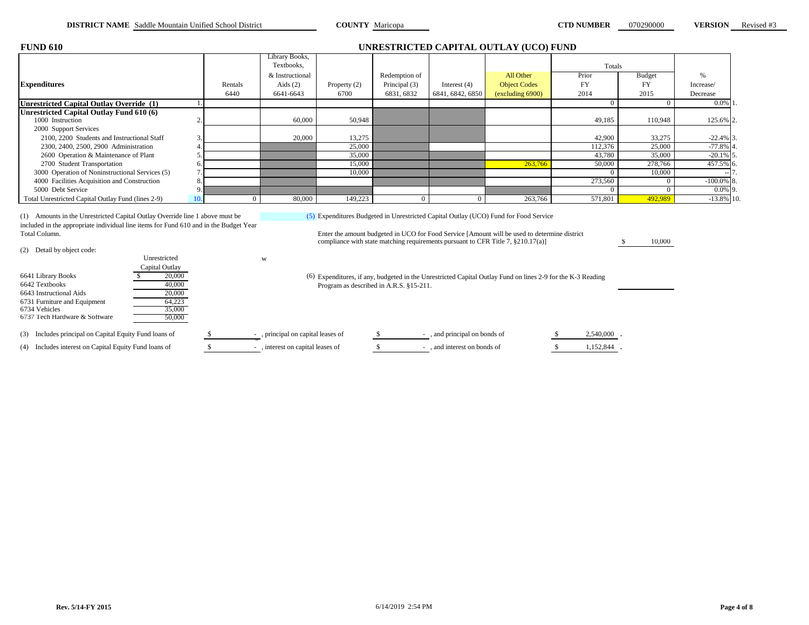| RSION | Revised #3 |
|-------|------------|
|       |            |

| <b>FUND 610</b>                                                                                                                                                                                                                                 |          |                              |                |                                         |                  | UNRESTRICTED CAPITAL OUTLAY (UCO) FUND                                                                                                                                                                                                                                        |                |               |                          |
|-------------------------------------------------------------------------------------------------------------------------------------------------------------------------------------------------------------------------------------------------|----------|------------------------------|----------------|-----------------------------------------|------------------|-------------------------------------------------------------------------------------------------------------------------------------------------------------------------------------------------------------------------------------------------------------------------------|----------------|---------------|--------------------------|
|                                                                                                                                                                                                                                                 |          | Library Books,<br>Textbooks, |                |                                         |                  |                                                                                                                                                                                                                                                                               | Totals         |               |                          |
|                                                                                                                                                                                                                                                 |          | & Instructional              |                | Redemption of                           |                  | All Other                                                                                                                                                                                                                                                                     | Prior          | <b>Budget</b> | %                        |
| <b>Expenditures</b>                                                                                                                                                                                                                             | Rentals  | Aids $(2)$                   | Property $(2)$ | Principal (3)                           | Interest $(4)$   | <b>Object Codes</b>                                                                                                                                                                                                                                                           | <b>FY</b>      | <b>FY</b>     | Increase/                |
|                                                                                                                                                                                                                                                 | 6440     | 6641-6643                    | 6700           | 6831, 6832                              | 6841, 6842, 6850 | (excluding 6900)                                                                                                                                                                                                                                                              | 2014           | 2015          | Decrease                 |
| <b>Unrestricted Capital Outlay Override (1)</b>                                                                                                                                                                                                 |          |                              |                |                                         |                  |                                                                                                                                                                                                                                                                               | $\overline{0}$ | $\Omega$      | $0.0\%$ 1                |
| Unrestricted Capital Outlay Fund 610 (6)                                                                                                                                                                                                        |          |                              |                |                                         |                  |                                                                                                                                                                                                                                                                               |                |               |                          |
| 1000 Instruction                                                                                                                                                                                                                                |          | 60,000                       | 50,948         |                                         |                  |                                                                                                                                                                                                                                                                               | 49,185         | 110,948       | 125.6% 2.                |
| 2000 Support Services                                                                                                                                                                                                                           |          |                              |                |                                         |                  |                                                                                                                                                                                                                                                                               |                |               |                          |
| 2100, 2200 Students and Instructional Staff                                                                                                                                                                                                     |          | 20,000                       | 13,275         |                                         |                  |                                                                                                                                                                                                                                                                               | 42,900         | 33,275        | $-22.4\%$ 3.             |
| 2300, 2400, 2500, 2900 Administration                                                                                                                                                                                                           |          |                              | 25,000         |                                         |                  |                                                                                                                                                                                                                                                                               | 112,376        | 25,000        | $-77.8\%$ 4              |
| 2600 Operation & Maintenance of Plant                                                                                                                                                                                                           |          |                              | 35,000         |                                         |                  |                                                                                                                                                                                                                                                                               | 43,780         | 35,000        | $-20.1\%$ 5              |
| 2700 Student Transportation                                                                                                                                                                                                                     |          |                              | 15,000         |                                         |                  | 263,766                                                                                                                                                                                                                                                                       | 50,000         | 278,766       | 457.5% 6                 |
| 3000 Operation of Noninstructional Services (5)                                                                                                                                                                                                 |          |                              | 10,000         |                                         |                  |                                                                                                                                                                                                                                                                               | $\Omega$       | 10,000        |                          |
| 4000 Facilities Acquisition and Construction                                                                                                                                                                                                    |          |                              |                |                                         |                  |                                                                                                                                                                                                                                                                               | 273.560        | $\Omega$      | $-100.0\%$ 8             |
| 5000 Debt Service                                                                                                                                                                                                                               |          |                              |                |                                         |                  |                                                                                                                                                                                                                                                                               | $\Omega$       | $\Omega$      | $0.0\%$ 9.               |
| Total Unrestricted Capital Outlay Fund (lines 2-9)                                                                                                                                                                                              | $\Omega$ | 80,000                       | 149,223        | $\Omega$                                | $\Omega$         | 263,766                                                                                                                                                                                                                                                                       | 571.801        | 492.989       | $-13.8\overline{\%}$ 10. |
| (1) Amounts in the Unrestricted Capital Outlay Override line 1 above must be<br>included in the appropriate individual line items for Fund 610 and in the Budget Year<br>Total Column.<br>(2) Detail by object code:                            |          |                              |                |                                         |                  | (5) Expenditures Budgeted in Unrestricted Capital Outlay (UCO) Fund for Food Service<br>Enter the amount budgeted in UCO for Food Service [Amount will be used to determine district<br>compliance with state matching requirements pursuant to CFR Title 7, $\S 210.17(a)$ ] |                | 10,000        |                          |
| Unrestricted<br>Capital Outlay<br>20,000<br>6641 Library Books<br>6642 Textbooks<br>40,000<br>6643 Instructional Aids<br>20,000<br>64,223<br>6731 Furniture and Equipment<br>6734 Vehicles<br>35,000<br>6737 Tech Hardware & Software<br>50,000 |          | W                            |                | Program as described in A.R.S. §15-211. |                  | (6) Expenditures, if any, budgeted in the Unrestricted Capital Outlay Fund on lines 2-9 for the K-3 Reading                                                                                                                                                                   |                |               |                          |

(3) Includes principal on Capital Equity Fund loans of  $\frac{\$}{\$}$ , principal on capital leases of  $\frac{\$}{\$}$ , and principal on bonds of  $\frac{\$}{\$}$  2,540,000.

(4) Includes interest on Capital Equity Fund loans of  $\overline{\text{S}}$ , interest on capital leases of  $\overline{\text{S}}$ , and interest on bonds of  $\overline{\text{S}}$  1,152,844.

- , principal on capital leases of<br>- , interest on capital leases of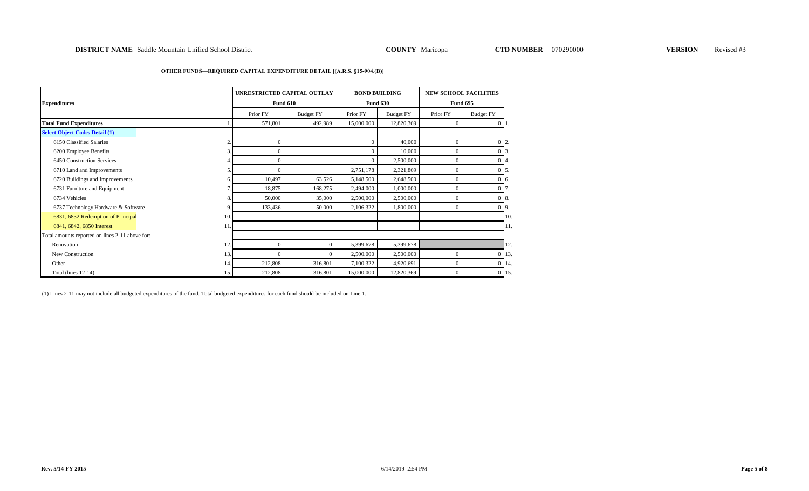#### **OTHER FUNDS—REQUIRED CAPITAL EXPENDITURE DETAIL [(A.R.S. §15-904.(B)]**

| <b>Expenditures</b>                             |                |                | UNRESTRICTED CAPITAL OUTLAY<br><b>Fund 610</b> | <b>BOND BUILDING</b><br><b>Fund 630</b> |                  | <b>NEW SCHOOL FACILITIES</b><br><b>Fund 695</b> |                   |  |
|-------------------------------------------------|----------------|----------------|------------------------------------------------|-----------------------------------------|------------------|-------------------------------------------------|-------------------|--|
|                                                 |                | Prior FY       | <b>Budget FY</b>                               | Prior FY                                | <b>Budget FY</b> | Prior FY                                        | <b>Budget FY</b>  |  |
| <b>Total Fund Expenditures</b>                  |                | 571,801        | 492,989                                        | 15,000,000                              | 12,820,369       | $\mathbf{0}$                                    | $0\;11.$          |  |
| <b>Select Object Codes Detail (1)</b>           |                |                |                                                |                                         |                  |                                                 |                   |  |
| 6150 Classified Salaries                        | $\overline{c}$ | $\mathbf{0}$   |                                                |                                         | 40,000           | $\mathbf{0}$                                    | $0\,$   2.        |  |
| 6200 Employee Benefits                          | 3              | $\mathbf{0}$   |                                                |                                         | 10,000           | $\mathbf{0}$                                    | $0\,$ 3.          |  |
| 6450 Construction Services                      |                | $\mathbf{0}$   |                                                |                                         | 2,500,000        | $\mathbf{0}$                                    | $0\vert 4.$       |  |
| 6710 Land and Improvements                      | 5              | $\overline{0}$ |                                                | 2,751,178                               | 2,321,869        | $\overline{0}$                                  | $0\,$ 5.          |  |
| 6720 Buildings and Improvements                 | 6.             | 10,497         | 63,526                                         | 5,148,500                               | 2,648,500        | $\overline{0}$                                  | $0\,$ 6.          |  |
| 6731 Furniture and Equipment                    |                | 18,875         | 168,275                                        | 2,494,000                               | 1,000,000        | $\mathbf{0}$                                    | 0 7.              |  |
| 6734 Vehicles                                   | 8.             | 50,000         | 35,000                                         | 2,500,000                               | 2,500,000        | $\overline{0}$                                  | 0 <sub>8</sub>    |  |
| 6737 Technology Hardware & Software             | 9              | 133,436        | 50,000                                         | 2,106,322                               | 1,800,000        | $\Omega$                                        | $0\overline{9}$ . |  |
| 6831, 6832 Redemption of Principal              | 10.            |                |                                                |                                         |                  |                                                 | 10.               |  |
| 6841, 6842, 6850 Interest                       | 11             |                |                                                |                                         |                  |                                                 | 11.               |  |
| Total amounts reported on lines 2-11 above for: |                |                |                                                |                                         |                  |                                                 |                   |  |
| Renovation                                      | 12             | $\mathbf{0}$   | $\overline{0}$                                 | 5,399,678                               | 5,399,678        |                                                 | 12.               |  |
| New Construction                                | 13.            | $\Omega$       | $\Omega$                                       | 2,500,000                               | 2,500,000        | $\mathbf{0}$                                    | $0$ 13.           |  |
| Other                                           | 14.            | 212,808        | 316,801                                        | 7,100,322                               | 4,920,691        | $\mathbf{0}$                                    | $0 \t14$          |  |
| Total (lines 12-14)                             | 15.            | 212,808        | 316,801                                        | 15,000,000                              | 12,820,369       | $\mathbf{0}$                                    | $0$ 15.           |  |

(1) Lines 2-11 may not include all budgeted expenditures of the fund. Total budgeted expenditures for each fund should be included on Line 1.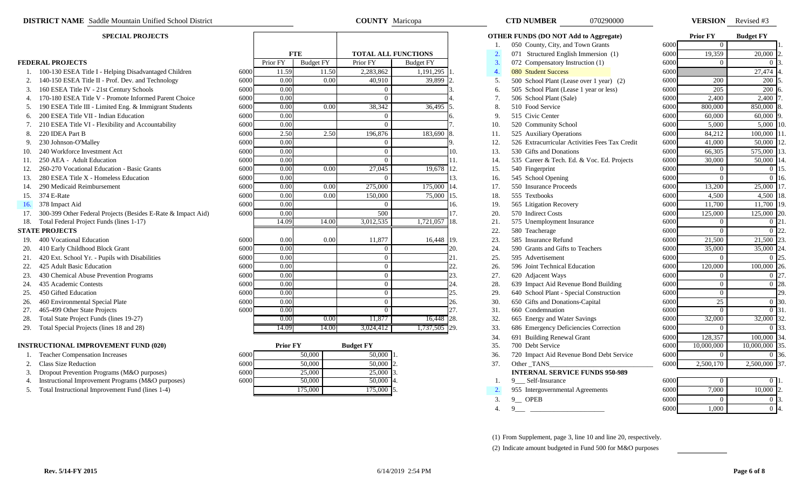- 1. 100-130 ESEA Title I Helping Disadvantaged Children
- 2. 140-150 ESEA Title II Prof. Dev. and Technology
- 3. 160 ESEA Title IV 21st Century Schools
- 4. 170-180 ESEA Title V Promote Informed Parent Choice
- 5. 190 ESEA Title III Limited Eng. & Immigrant Students
- 6. 200 ESEA Title VII Indian Education
- 7. 210 ESEA Title VI Flexibility and Accountability
- 
- 
- 10. 240 Workforce Investment Act
- 
- 12. 260-270 Vocational Education Basic Grants
- 13. 280 ESEA Title X Homeless Education
- 14. 290 Medicaid Reimbursement
- 
- 
- 17. 300-399 Other Federal Projects (Besides E-Rate & Impact Aid)
- 18. Total Federal Project Funds (lines 1-17)

- 
- 20. 410 Early Childhood Block Grant
- 21. 420 Ext. School Yr. Pupils with Disabilities
- 
- 23. 430 Chemical Abuse Prevention Programs
- 
- 
- 26. 460 Environmental Special Plate
- 27. 465-499 Other State Projects
- 28. Total State Project Funds (lines 19-27)
- 29. Total Special Projects (lines 18 and 28)

#### **INSTRUCTIONAL IMPROVEMENT FUND (020)**

- 
- 
- 3. Dropout Prevention Programs (M&O purposes)
- 4. Instructional Improvement Programs (M&O purposes)
- 5. Total Instructional Improvement Fund (lines 1-4)

|      |          | <b>FTE</b>       |                | <b>TOTAL ALL FUNCTIONS</b> |     |
|------|----------|------------------|----------------|----------------------------|-----|
|      | Prior FY | <b>Budget FY</b> | Prior FY       | <b>Budget FY</b>           |     |
| 6000 | 11.59    | 11.50            | 2,283,862      | 1,191,295                  | 1.  |
| 6000 | 0.00     | 0.00             | 40,910         | 39,899                     | 2.  |
| 6000 | 0.00     |                  | $\overline{0}$ |                            | 3.  |
| 6000 | 0.00     |                  | $\theta$       |                            | 4.  |
| 6000 | 0.00     | 0.00             | 38,342         | 36,495                     | 5.  |
| 6000 | 0.00     |                  | $\overline{0}$ |                            | 6.  |
| 6000 | 0.00     |                  | $\theta$       |                            | 7.  |
| 6000 | 2.50     | 2.50             | 196,876        | 183,690                    | 8.  |
| 6000 | 0.00     |                  | 0              |                            | 9.  |
| 6000 | 0.00     |                  | $\overline{0}$ |                            | 10. |
| 6000 | 0.00     |                  | $\theta$       |                            | 11. |
| 6000 | 0.00     | 0.00             | 27,045         | 19,678                     | 12. |
| 6000 | 0.00     |                  | 0              |                            | 13. |
| 6000 | 0.00     | 0.00             | 275,000        | 175,000                    | 14. |
| 6000 | 0.00     | 0.00             | 150,000        | 75,000                     | 15. |
| 6000 | 0.00     |                  | 0              |                            | 16. |
| 6000 | 0.00     |                  | 500            |                            | 17. |
|      | 14.09    | 14.00            | 3,012,535      | 1,721,057                  | 18. |
| 6000 | 0.00     | 0.00             | 11,877         | 16,448                     | 19. |
| 6000 | 0.00     |                  | $\overline{0}$ |                            | 20. |
| 6000 | 0.00     |                  | $\overline{0}$ |                            | 21. |
| 6000 | 0.00     |                  | $\overline{0}$ |                            | 22. |
| 6000 | 0.00     |                  | $\theta$       |                            | 23. |
| 6000 | 0.00     |                  | $\overline{0}$ |                            | 24. |
| 6000 | 0.00     |                  | $\overline{0}$ |                            | 25. |
| 6000 | 0.00     |                  | $\overline{0}$ |                            | 26. |
| 6000 | 0.00     |                  | $\overline{0}$ |                            | 27. |
|      | 0.00     | 0.00             | 11,877         | 16,448                     | 28. |
|      | 14.09    | 14.00            | 3.024.412      | 1.737.505                  | 29. |

**COUNTY** Maricopa

|      | <b>Prior FY</b> | <b>Budget FY</b> |                  |
|------|-----------------|------------------|------------------|
| 6000 | 50,000          | 50,000           |                  |
| 6000 | 50,000          | 50,000           | $\overline{c}$ . |
| 6000 | 25,000          | 25,000           | 3.               |
| 6000 | 50,000          | 50,000           | 4.               |
|      | 175,000         | 175,000          |                  |

|     | <b>DISTRICT NAME</b> Saddle Mountain Unified School District     |      | <b>COUNTY</b> Maricopa |                  |                  |                     |     |                  | 070290000<br><b>CTD NUMBER</b>                 |      | <b>VERSION</b> Revised #3 |                         |    |
|-----|------------------------------------------------------------------|------|------------------------|------------------|------------------|---------------------|-----|------------------|------------------------------------------------|------|---------------------------|-------------------------|----|
|     | <b>SPECIAL PROJECTS</b>                                          |      |                        |                  |                  |                     |     |                  | <b>OTHER FUNDS (DO NOT Add to Aggregate)</b>   |      | <b>Prior FY</b>           | <b>Budget FY</b>        |    |
|     |                                                                  |      |                        |                  |                  |                     |     |                  | 050 County, City, and Town Grants              | 6000 | $\bf{0}$                  |                         |    |
|     |                                                                  |      |                        | <b>FTE</b>       |                  | TOTAL ALL FUNCTIONS |     | 2.               | 071 Structured English Immersion (1)           | 6000 | 19,359                    | 20,000                  |    |
|     | <b>FEDERAL PROJECTS</b>                                          |      | Prior FY               | <b>Budget FY</b> | Prior FY         | <b>Budget FY</b>    |     | 3.               | 072 Compensatory Instruction (1)               | 6000 | $\theta$                  |                         |    |
|     | 1. 100-130 ESEA Title I - Helping Disadvantaged Children         | 6000 | 11.59                  | 11.50            | 2,283,862        | $1,191,295$ 1.      |     | 4.               | 080 Student Success                            | 6000 |                           | 27,474                  |    |
|     | 2. 140-150 ESEA Title II - Prof. Dev. and Technology             | 6000 | 0.00                   | 0.00             | 40,910           | 39,899              |     | 5.               | 500 School Plant (Lease over 1 year) (2)       | 6000 | 200                       | 200                     |    |
|     | 3. 160 ESEA Title IV - 21st Century Schools                      | 6000 | 0.00                   |                  | $\Omega$         |                     |     | 6.               | 505 School Plant (Lease 1 year or less)        | 6000 | 205                       | 200                     |    |
|     | 4. 170-180 ESEA Title V - Promote Informed Parent Choice         | 6000 | 0.00                   |                  | $\Omega$         |                     |     | 7.               | 506 School Plant (Sale)                        | 6000 | 2,400                     | 2,400                   |    |
|     | 5. 190 ESEA Title III - Limited Eng. & Immigrant Students        | 6000 | 0.00                   | 0.00             | 38,342           | 36,495              | 15. | 8.               | 510 Food Service                               | 6000 | 800,000                   | 850,000                 |    |
|     | 6. 200 ESEA Title VII - Indian Education                         | 6000 | 0.00                   |                  | $\Omega$         |                     | 6.  | 9.               | 515 Civic Center                               | 6000 | 60,000                    | 60,000                  |    |
|     | 7. 210 ESEA Title VI - Flexibility and Accountability            | 6000 | 0.00                   |                  | $\Omega$         |                     |     | 10.              | 520 Community School                           | 6000 | 5,000                     | $5,000$ 10.             |    |
| 8.  | 220 IDEA Part B                                                  | 6000 | 2.50                   | 2.50             | 196,876          | 183,690             | 8.  | 11.              | 525 Auxiliary Operations                       | 6000 | 84,212                    | 100,000                 |    |
|     | 9. 230 Johnson-O'Malley                                          | 6000 | 0.00                   |                  | $\Omega$         |                     | 9.  | 12.              | 526 Extracurricular Activities Fees Tax Credit | 6000 | 41,000                    | 50,000                  |    |
|     | 10. 240 Workforce Investment Act                                 | 6000 | 0.00                   |                  | $\Omega$         |                     | 10. | 13.              | 530 Gifts and Donations                        | 6000 | 66,305                    | 575,000                 |    |
| 11. | 250 AEA - Adult Education                                        | 6000 | 0.00                   |                  | $\Omega$         |                     | 11. | 14.              | 535 Career & Tech. Ed. & Voc. Ed. Projects     | 6000 | 30,000                    | 50,000                  |    |
| 12. | 260-270 Vocational Education - Basic Grants                      | 6000 | 0.00                   | 0.00             | 27,045           | 19,678              | 12. | 15.              | 540 Fingerprint                                | 6000 | $\overline{0}$            |                         |    |
| 13. | 280 ESEA Title X - Homeless Education                            | 6000 | 0.00                   |                  | $\Omega$         |                     | 13. | 16.              | 545 School Opening                             | 6000 | $\overline{0}$            | $0 \; 16$               |    |
| 14. | 290 Medicaid Reimbursement                                       | 6000 | 0.00                   | 0.00             | 275,000          | 175,000             | 14. | 17.              | 550 Insurance Proceeds                         | 6000 | 13,200                    | 25,000 1                |    |
|     | 15. 374 E-Rate                                                   | 6000 | 0.00                   | 0.00             | 150,000          | 75,000              | 15. | 18.              | 555 Textbooks                                  | 6000 | 4,500                     | 4,500                   |    |
|     | 16. 378 Impact Aid                                               | 6000 | 0.00                   |                  | $\Omega$         |                     | 16. | 19.              | 565 Litigation Recovery                        | 6000 | 11,700                    | $11,700$ 19.            |    |
|     | 17. 300-399 Other Federal Projects (Besides E-Rate & Impact Aid) | 6000 | 0.00                   |                  | 500              |                     | 17. | 20.              | 570 Indirect Costs                             | 6000 | 125,000                   | 125,000                 |    |
|     | 18. Total Federal Project Funds (lines 1-17)                     |      | 14.09                  | 14.00            | 3,012,535        | 1,721,057 18.       |     | 21.              | 575 Unemployment Insurance                     | 6000 | $\overline{0}$            |                         |    |
|     | <b>STATE PROJECTS</b>                                            |      |                        |                  |                  |                     |     | 22.              | 580 Teacherage                                 | 6000 | $\Omega$                  | $\Omega$                |    |
|     | 19. 400 Vocational Education                                     | 6000 | 0.00                   | 0.00             | 11,877           | 16,448 19.          |     | 23.              | 585 Insurance Refund                           | 6000 | 21,500                    | 21,500                  |    |
|     | 20. 410 Early Childhood Block Grant                              | 6000 | 0.00                   |                  | $\Omega$         |                     | 20. | 24.              | 590 Grants and Gifts to Teachers               | 6000 | 35,000                    | 35,000                  |    |
|     | 21. 420 Ext. School Yr. - Pupils with Disabilities               | 6000 | 0.00                   |                  | $\Omega$         |                     | 21. | 25.              | 595 Advertisement                              | 6000 | $\overline{0}$            | $\Omega$                |    |
| 22. | 425 Adult Basic Education                                        | 6000 | 0.00                   |                  | $\Omega$         |                     | 22. | 26.              | 596 Joint Technical Education                  | 6000 | 120,000                   | $100,000$ <sub>26</sub> |    |
|     | 23. 430 Chemical Abuse Prevention Programs                       | 6000 | 0.00                   |                  | $\Omega$         |                     | 23. | 27.              | 620 Adjacent Ways                              | 6000 | $\Omega$                  |                         |    |
|     | 24. 435 Academic Contests                                        | 6000 | 0.00                   |                  | $\Omega$         |                     | 24. | 28.              | 639 Impact Aid Revenue Bond Building           | 6000 | $\overline{0}$            | 0 28.                   |    |
| 25. | 450 Gifted Education                                             | 6000 | 0.00                   |                  | $\Omega$         |                     | 25. | 29.              | 640 School Plant - Special Construction        | 6000 | $\overline{0}$            |                         | 29 |
|     | 26. 460 Environmental Special Plate                              | 6000 | 0.00                   |                  | $\Omega$         |                     | 26. | 30.              | 650 Gifts and Donations-Capital                | 6000 | 25                        | 0.30                    |    |
|     | 27. 465-499 Other State Projects                                 | 6000 | 0.00                   |                  | $\Omega$         |                     | 27. | 31.              | 660 Condemnation                               | 6000 | $\overline{0}$            | 0 <sup>131</sup>        |    |
| 28. | Total State Project Funds (lines 19-27)                          |      | 0.00                   | 0.00             | 11,877           | 16,448 28.          |     | 32.              | 665 Energy and Water Savings                   | 6000 | 32,000                    | 32,000                  |    |
|     | 29. Total Special Projects (lines 18 and 28)                     |      | 14.09                  | 14.00            | 3,024,412        | 1,737,505 29.       |     | 33.              | 686 Emergency Deficiencies Correction          | 6000 | $\Omega$                  |                         |    |
|     |                                                                  |      |                        |                  |                  |                     |     | 34.              | 691 Building Renewal Grant                     | 6000 | 128,357                   | 100,000                 |    |
|     | <b>INSTRUCTIONAL IMPROVEMENT FUND (020)</b>                      |      | <b>Prior FY</b>        |                  | <b>Budget FY</b> |                     |     | 35.              | 700 Debt Service                               | 6000 | 10,000,000                | 10,000,000              |    |
|     | 1. Teacher Compensation Increases                                | 6000 |                        | 50,000           | 50,000           |                     |     | 36.              | 720 Impact Aid Revenue Bond Debt Service       | 6000 | $\overline{0}$            |                         |    |
|     | 2. Class Size Reduction                                          | 6000 |                        | 50,000           | $50,000$ 2.      |                     |     | 37.              | Other_TANS_                                    | 6000 | 2,500,170                 | 2,500,000 37            |    |
| 3.  | Dropout Prevention Programs (M&O purposes)                       | 6000 |                        | 25,000           | 25,000           |                     |     |                  | <b>INTERNAL SERVICE FUNDS 950-989</b>          |      |                           |                         |    |
| 4.  | Instructional Improvement Programs (M&O purposes)                | 6000 |                        | 50,000           | 50,000           |                     |     | 1.               | 9 Self-Insurance                               | 6000 | $\overline{0}$            |                         |    |
|     | 5. Total Instructional Improvement Fund (lines 1-4)              |      |                        | 175,000          | 175,000 5.       |                     |     | 2.               | 955 Intergovernmental Agreements               | 6000 | 7,000                     | $10,000$ 2              |    |
|     |                                                                  |      |                        |                  |                  |                     |     | 3.               | 9 <sup>O</sup> OPEB                            | 6000 | $\Omega$                  | 0 <sup>3</sup>          |    |
|     |                                                                  |      |                        |                  |                  |                     |     | $\overline{4}$ . | $9^{\circ}$                                    | 6000 | 1,000                     | 0 <sup>14</sup>         |    |

(1) From Supplement, page 3, line 10 and line 20, respectively. (2) Indicate amount budgeted in Fund 500 for M&O purposes

| <b>Prior FY</b> | <b>Budget FY</b>        |     |
|-----------------|-------------------------|-----|
| 0               |                         | 1.  |
| 19,359          | 20,000                  | 2.  |
| 0               | 0                       | 3.  |
|                 | 27,474                  | 4.  |
| 200             | 200                     | 5.  |
| 205             | $\overline{2}00$        | 6.  |
| 2,400           | 2,400                   | 7.  |
| 800,000         | 850,000                 | 8.  |
| 60,000          | 60,000                  | 9.  |
| 5,000           | 5,000                   | 10. |
| 84,212          | 100,000                 | 11. |
| 41,000          | 50,000                  | 12. |
| 66,305          | 575,000                 | 13. |
| 30,000          | $\frac{50,000}{50,000}$ | 14. |
| 0               | $\overline{0}$          | 15. |
| $\overline{0}$  | $\overline{0}$          | 16. |
| 13,200          | 25,000                  | 17. |
| 4,500           | 4,500                   | 18. |
| 11,700          | 11,700                  | 19. |
| 125,000         | 125,000                 | 20. |
| $\theta$        | $\theta$                | 21. |
| $\overline{0}$  | $\overline{0}$          | 22. |
| 21,500          | 21,500                  | 23. |
| 35,000          | 35,000                  | 24. |
| 0               | $\theta$                | 25. |
| 120,000         | 100,000                 | 26. |
| $\overline{0}$  | 0                       | 27. |
| $\overline{0}$  | $\overline{0}$          | 28. |
| 0               |                         | 29. |
| 25              | $\overline{0}$          | 30. |
| $\theta$        | $\overline{0}$          | 31. |
| 32,000          | 32,000                  | 32. |
| $\theta$        | $\overline{0}$          | 33. |
| 128,357         | 100,000                 | 34. |
| 10,000,000      | 10,000,000              | 35. |
| 0               | 0                       | 36. |
| 2,500,170       | 2,500,000               | 37. |
|                 |                         |     |
|                 | $\overline{a}$ 1        |     |

| 5000 |       | 0           |     |
|------|-------|-------------|-----|
| 5000 | 7,000 | $10,000$ 2. |     |
| 5000 |       |             | 13. |
| 5000 | 1,000 | 0           | -4. |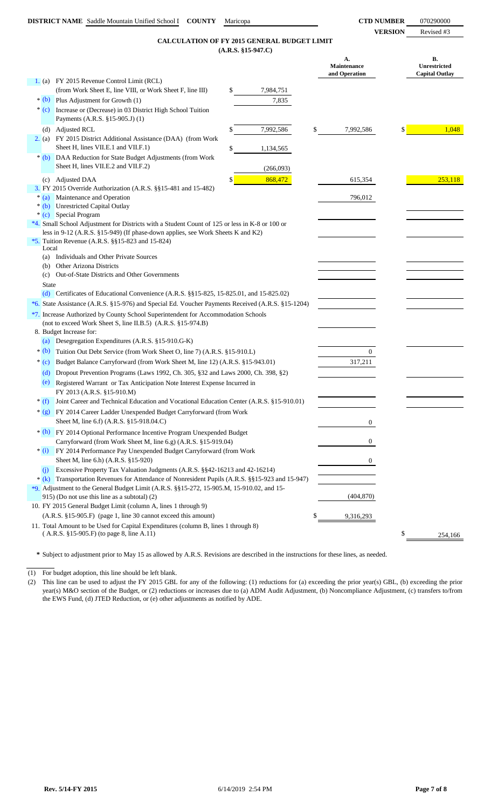### **(A.R.S. §15-947.C) CALCULATION OF FY 2015 GENERAL BUDGET LIMIT**

|              | CALCOLATION OF FT 2013 GENERAL BODGET LIMIT                                                                                       | $(A.R.S. §15-947.C)$ |                                    |                                             |
|--------------|-----------------------------------------------------------------------------------------------------------------------------------|----------------------|------------------------------------|---------------------------------------------|
|              |                                                                                                                                   |                      | А.<br>Maintenance<br>and Operation | В.<br>Unrestricted<br><b>Capital Outlay</b> |
|              | 1. (a) FY 2015 Revenue Control Limit (RCL)                                                                                        |                      |                                    |                                             |
|              | (from Work Sheet E, line VIII, or Work Sheet F, line III)                                                                         | \$<br>7,984,751      |                                    |                                             |
| $*(b)$       | Plus Adjustment for Growth (1)                                                                                                    | 7,835                |                                    |                                             |
| $*(c)$       | Increase or (Decrease) in 03 District High School Tuition<br>Payments (A.R.S. §15-905.J) (1)                                      |                      |                                    |                                             |
| (d)          | <b>Adjusted RCL</b>                                                                                                               | 7,992,586            | \$<br>7,992,586                    | 1,048                                       |
|              | 2. (a) FY 2015 District Additional Assistance (DAA) (from Work<br>Sheet H, lines VII.E.1 and VII.F.1)                             | \$<br>1,134,565      |                                    |                                             |
| $*(b)$       | DAA Reduction for State Budget Adjustments (from Work<br>Sheet H, lines VII.E.2 and VII.F.2)                                      | (266,093)            |                                    |                                             |
| (c)          | <b>Adjusted DAA</b>                                                                                                               | \$<br>868,472        | 615,354                            | 253,118                                     |
|              | 3. FY 2015 Override Authorization (A.R.S. §§15-481 and 15-482)                                                                    |                      |                                    |                                             |
| $*(a)$       | Maintenance and Operation<br>* (b) Unrestricted Capital Outlay                                                                    |                      | 796,012                            |                                             |
|              | * (c) Special Program                                                                                                             |                      |                                    |                                             |
|              | *4. Small School Adjustment for Districts with a Student Count of 125 or less in K-8 or 100 or                                    |                      |                                    |                                             |
|              | less in 9-12 (A.R.S. §15-949) (If phase-down applies, see Work Sheets K and K2)                                                   |                      |                                    |                                             |
| Local        | *5. Tuition Revenue (A.R.S. $\S$ §15-823 and 15-824)                                                                              |                      |                                    |                                             |
|              | (a) Individuals and Other Private Sources                                                                                         |                      |                                    |                                             |
| (b)          | <b>Other Arizona Districts</b>                                                                                                    |                      |                                    |                                             |
| (c)          | Out-of-State Districts and Other Governments                                                                                      |                      |                                    |                                             |
| <b>State</b> | (d) Certificates of Educational Convenience $(A.R.S. \$ § 15-825, 15-825.01, and 15-825.02)                                       |                      |                                    |                                             |
|              | *6. State Assistance (A.R.S. §15-976) and Special Ed. Voucher Payments Received (A.R.S. §15-1204)                                 |                      |                                    |                                             |
|              | *7. Increase Authorized by County School Superintendent for Accommodation Schools                                                 |                      |                                    |                                             |
|              | (not to exceed Work Sheet S, line II.B.5) (A.R.S. §15-974.B)                                                                      |                      |                                    |                                             |
|              | 8. Budget Increase for:                                                                                                           |                      |                                    |                                             |
| (a)          | Desegregation Expenditures (A.R.S. §15-910.G-K)                                                                                   |                      |                                    |                                             |
| $*$ (b)      | Tuition Out Debt Service (from Work Sheet O, line 7) (A.R.S. §15-910.L)                                                           |                      | $\overline{0}$                     |                                             |
| $*(c)$       | Budget Balance Carryforward (from Work Sheet M, line 12) (A.R.S. §15-943.01)                                                      |                      | 317,211                            |                                             |
| (d)          | Dropout Prevention Programs (Laws 1992, Ch. 305, §32 and Laws 2000, Ch. 398, §2)                                                  |                      |                                    |                                             |
| (e)          | Registered Warrant or Tax Anticipation Note Interest Expense Incurred in                                                          |                      |                                    |                                             |
|              | FY 2013 (A.R.S. §15-910.M)                                                                                                        |                      |                                    |                                             |
| $*(f)$       | Joint Career and Technical Education and Vocational Education Center (A.R.S. §15-910.01)                                          |                      |                                    |                                             |
|              | * (g) FY 2014 Career Ladder Unexpended Budget Carryforward (from Work<br>Sheet M, line 6.f) (A.R.S. §15-918.04.C)                 |                      | 0                                  |                                             |
|              | * (h) FY 2014 Optional Performance Incentive Program Unexpended Budget                                                            |                      |                                    |                                             |
|              | Carryforward (from Work Sheet M, line 6.g) (A.R.S. §15-919.04)                                                                    |                      | 0                                  |                                             |
|              | * (i) FY 2014 Performance Pay Unexpended Budget Carryforward (from Work                                                           |                      |                                    |                                             |
|              | Sheet M, line 6.h) (A.R.S. §15-920)<br>Excessive Property Tax Valuation Judgments (A.R.S. §§42-16213 and 42-16214)                |                      | 0                                  |                                             |
| (i)          | * (k) Transportation Revenues for Attendance of Nonresident Pupils (A.R.S. §§15-923 and 15-947)                                   |                      |                                    |                                             |
|              | *9. Adjustment to the General Budget Limit (A.R.S. $\S 15-272$ , 15-905.M, 15-910.02, and 15-                                     |                      |                                    |                                             |
|              | 915) (Do not use this line as a subtotal) (2)                                                                                     |                      | (404, 870)                         |                                             |
|              | 10. FY 2015 General Budget Limit (column A, lines 1 through 9)                                                                    |                      |                                    |                                             |
|              | (A.R.S. §15-905.F) (page 1, line 30 cannot exceed this amount)                                                                    |                      | 9,316,293                          |                                             |
|              | 11. Total Amount to be Used for Capital Expenditures (column B, lines 1 through 8)<br>$(A.R.S. §15-905.F)$ (to page 8, line A.11) |                      |                                    | \$                                          |
|              |                                                                                                                                   |                      |                                    | 254,166                                     |

**\*** Subject to adjustment prior to May 15 as allowed by A.R.S. Revisions are described in the instructions for these lines, as needed.

(1) For budget adoption, this line should be left blank.

(2) This line can be used to adjust the FY 2015 GBL for any of the following: (1) reductions for (a) exceeding the prior year(s) GBL, (b) exceeding the prior year(s) M&O section of the Budget, or (2) reductions or increases due to (a) ADM Audit Adjustment, (b) Noncompliance Adjustment, (c) transfers to/from the EWS Fund, (d) JTED Reduction, or (e) other adjustments as notified by ADE.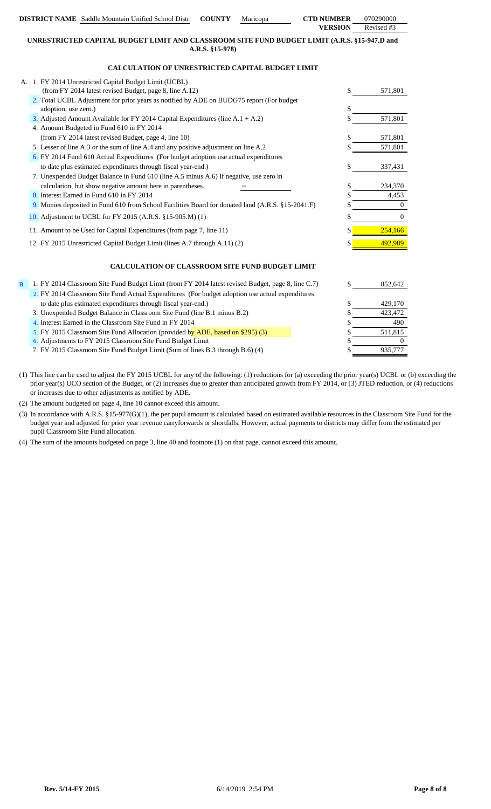|           | <b>DISTRICT NAME</b> Saddle Mountain Unified School Distr<br><b>COUNTY</b><br>Maricopa                           | <b>CTD NUMBER</b> | 070290000      |
|-----------|------------------------------------------------------------------------------------------------------------------|-------------------|----------------|
|           |                                                                                                                  | <b>VERSION</b>    | Revised #3     |
|           | UNRESTRICTED CAPITAL BUDGET LIMIT AND CLASSROOM SITE FUND BUDGET LIMIT (A.R.S. §15-947.D and                     |                   |                |
|           | A.R.S. §15-978)                                                                                                  |                   |                |
|           | <b>CALCULATION OF UNRESTRICTED CAPITAL BUDGET LIMIT</b>                                                          |                   |                |
|           | A. 1. FY 2014 Unrestricted Capital Budget Limit (UCBL)                                                           |                   |                |
|           | (from FY 2014 latest revised Budget, page 8, line A.12)                                                          | \$                | 571,801        |
|           | 2. Total UCBL Adjustment for prior years as notified by ADE on BUDG75 report (For budget<br>adoption, use zero.) | \$                |                |
|           | 3. Adjusted Amount Available for FY 2014 Capital Expenditures (line A.1 + A.2)                                   |                   | 571,801        |
|           | 4. Amount Budgeted in Fund 610 in FY 2014                                                                        |                   |                |
|           | (from FY 2014 latest revised Budget, page 4, line 10)                                                            | S                 | 571,801        |
|           | 5. Lesser of line A.3 or the sum of line A.4 and any positive adjustment on line A.2                             | S                 | 571,801        |
|           | 6. FY 2014 Fund 610 Actual Expenditures (For budget adoption use actual expenditures                             |                   |                |
|           | to date plus estimated expenditures through fiscal year-end.)                                                    | \$                | 337,431        |
|           | 7. Unexpended Budget Balance in Fund 610 (line A.5 minus A.6) If negative, use zero in                           |                   |                |
|           | calculation, but show negative amount here in parentheses.                                                       | \$                | 234,370        |
|           | 8. Interest Earned in Fund 610 in FY 2014                                                                        |                   | 4,453          |
|           | 9. Monies deposited in Fund 610 from School Facilities Board for donated land (A.R.S. §15-2041.F)                |                   | $\Omega$       |
|           | 10. Adjustment to UCBL for FY 2015 (A.R.S. §15-905.M) (1)                                                        | \$                | $\overline{0}$ |
|           | 11. Amount to be Used for Capital Expenditures (from page 7, line 11)                                            | \$                | 254,166        |
|           | 12. FY 2015 Unrestricted Capital Budget Limit (lines A.7 through A.11) (2)                                       |                   | 492.989        |
|           | <b>CALCULATION OF CLASSROOM SITE FUND BUDGET LIMIT</b>                                                           |                   |                |
| <b>B.</b> | 1. FY 2014 Classroom Site Fund Budget Limit (from FY 2014 latest revised Budget, page 8, line C.7)               | \$                | 852,642        |
|           | 2. FY 2014 Classroom Site Fund Actual Expenditures (For budget adoption use actual expenditures                  |                   |                |
|           | to date plus estimated expenditures through fiscal year-end.)                                                    | \$                | 429,170        |
|           | 3. Unexpended Budget Balance in Classroom Site Fund (line B.1 minus B.2)                                         | S                 | 423,472        |
|           | 4. Interest Earned in the Classroom Site Fund in FY 2014                                                         | \$                | 490            |

5. FY 2015 Classroom Site Fund Allocation (provided by ADE, based on \$295) (3)

6. \$ 0 Adjustments to FY 2015 Classroom Site Fund Budget Limit

7. FY 2015 Classroom Site Fund Budget Limit (Sum of lines B.3 through B.6) (4)

- (1) This line can be used to adjust the FY 2015 UCBL for any of the following: (1) reductions for (a) exceeding the prior year(s) UCBL or (b) exceeding the prior year(s) UCO section of the Budget, or (2) increases due to greater than anticipated growth from FY 2014, or (3) JTED reduction, or (4) reductions or increases due to other adjustments as notified by ADE.
- (2) The amount budgeted on page 4, line 10 cannot exceed this amount.
- (3) In accordance with A.R.S. §15-977(G)(1), the per pupil amount is calculated based on estimated available resources in the Classroom Site Fund for the budget year and adjusted for prior year revenue carryforwards or shortfalls. However, actual payments to districts may differ from the estimated per pupil Classroom Site Fund allocation.
- (4) The sum of the amounts budgeted on page 3, line 40 and footnote (1) on that page, cannot exceed this amount.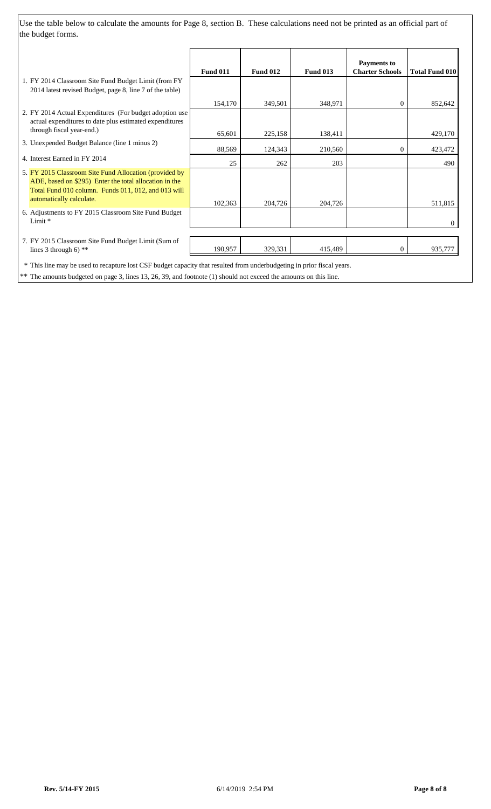Use the table below to calculate the amounts for Page 8, section B. These calculations need not be printed as an official part of the budget forms.

|                                                                                                                        |                 |                 |                 | <b>Payments</b> to     |                       |
|------------------------------------------------------------------------------------------------------------------------|-----------------|-----------------|-----------------|------------------------|-----------------------|
|                                                                                                                        | <b>Fund 011</b> | <b>Fund 012</b> | <b>Fund 013</b> | <b>Charter Schools</b> | <b>Total Fund 010</b> |
| 1. FY 2014 Classroom Site Fund Budget Limit (from FY                                                                   |                 |                 |                 |                        |                       |
| 2014 latest revised Budget, page 8, line 7 of the table)                                                               |                 |                 |                 |                        |                       |
|                                                                                                                        | 154,170         | 349,501         | 348,971         | 0                      | 852,642               |
| 2. FY 2014 Actual Expenditures (For budget adoption use                                                                |                 |                 |                 |                        |                       |
| actual expenditures to date plus estimated expenditures                                                                |                 |                 |                 |                        |                       |
| through fiscal year-end.)                                                                                              | 65,601          | 225,158         | 138,411         |                        | 429,170               |
| 3. Unexpended Budget Balance (line 1 minus 2)                                                                          |                 |                 |                 |                        |                       |
|                                                                                                                        | 88,569          | 124,343         | 210,560         | $\overline{0}$         | 423,472               |
| 4. Interest Earned in FY 2014                                                                                          | 25              | 262             | 203             |                        | 490                   |
| 5. FY 2015 Classroom Site Fund Allocation (provided by                                                                 |                 |                 |                 |                        |                       |
| ADE, based on \$295) Enter the total allocation in the                                                                 |                 |                 |                 |                        |                       |
| Total Fund 010 column. Funds 011, 012, and 013 will                                                                    |                 |                 |                 |                        |                       |
| automatically calculate.                                                                                               | 102,363         | 204,726         | 204,726         |                        | 511,815               |
| 6. Adjustments to FY 2015 Classroom Site Fund Budget                                                                   |                 |                 |                 |                        |                       |
| Limit *                                                                                                                |                 |                 |                 |                        | 0                     |
|                                                                                                                        |                 |                 |                 |                        |                       |
| 7. FY 2015 Classroom Site Fund Budget Limit (Sum of                                                                    |                 |                 |                 |                        |                       |
| lines 3 through 6) $**$                                                                                                | 190,957         | 329,331         | 415,489         | $\overline{0}$         | 935,777               |
| * This line may be used to recapture lost CSF budget capacity that resulted from underbudgeting in prior fiscal years. |                 |                 |                 |                        |                       |

\*\* The amounts budgeted on page 3, lines 13, 26, 39, and footnote (1) should not exceed the amounts on this line.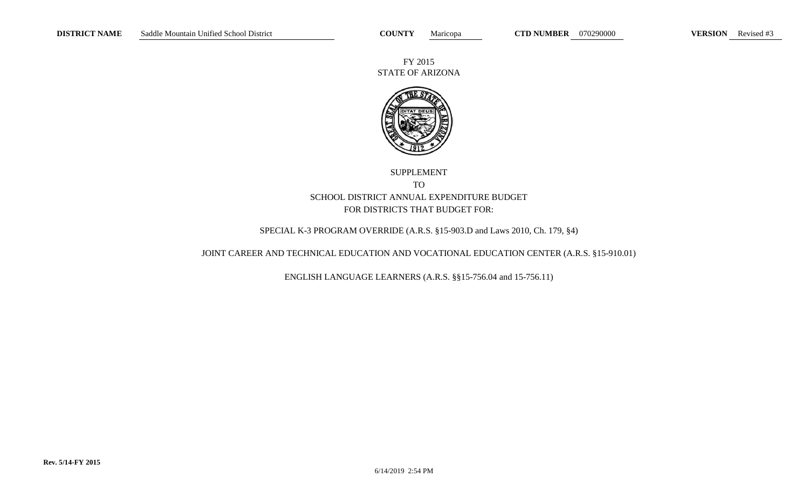FY 2015 STATE OF ARIZONA



# SUPPLEMENT TO SCHOOL DISTRICT ANNUAL EXPENDITURE BUDGET FOR DISTRICTS THAT BUDGET FOR:

## SPECIAL K-3 PROGRAM OVERRIDE (A.R.S. §15-903.D and Laws 2010, Ch. 179, §4)

## JOINT CAREER AND TECHNICAL EDUCATION AND VOCATIONAL EDUCATION CENTER (A.R.S. §15-910.01)

ENGLISH LANGUAGE LEARNERS (A.R.S. §§15-756.04 and 15-756.11)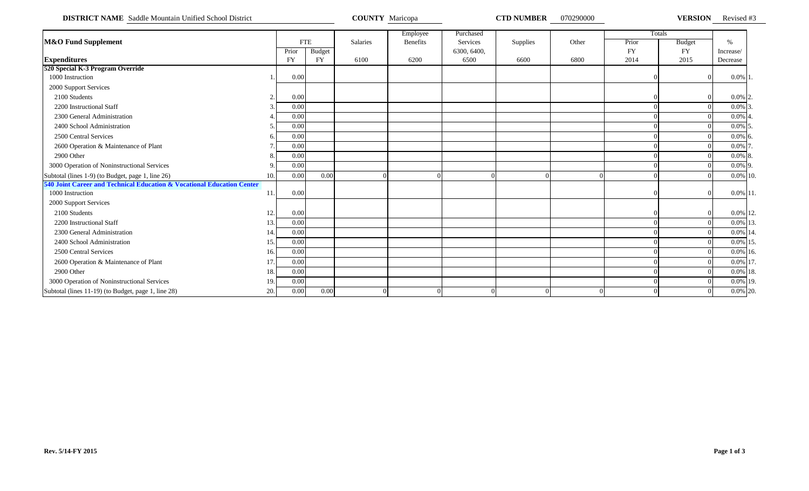**DISTRICT NAME** Saddle Mountain Unified School District **COUNTY Maricopa COUNTY Maricopa CTD NUMBER** 070290000 **VERSION** Revised #3

|                                                                        |           |           |               |          | Employee        | Purchased   |          |                |           | Totals        |             |  |
|------------------------------------------------------------------------|-----------|-----------|---------------|----------|-----------------|-------------|----------|----------------|-----------|---------------|-------------|--|
| <b>M&amp;O Fund Supplement</b>                                         |           |           | <b>FTE</b>    | Salaries | <b>Benefits</b> | Services    | Supplies | Other          | Prior     | <b>Budget</b> | $\%$        |  |
|                                                                        |           | Prior     | <b>Budget</b> |          |                 | 6300, 6400, |          |                | <b>FY</b> | <b>FY</b>     | Increase/   |  |
| <b>Expenditures</b>                                                    |           | <b>FY</b> | <b>FY</b>     | 6100     | 6200            | 6500        | 6600     | 6800           | 2014      | 2015          | Decrease    |  |
| 520 Special K-3 Program Override                                       |           |           |               |          |                 |             |          |                |           |               |             |  |
| 1000 Instruction                                                       |           | 0.00      |               |          |                 |             |          |                |           |               | $0.0\%$ 1.  |  |
| 2000 Support Services                                                  |           |           |               |          |                 |             |          |                |           |               |             |  |
| 2100 Students                                                          | $\bigcap$ | 0.00      |               |          |                 |             |          |                |           |               | $0.0\%$ 2.  |  |
| 2200 Instructional Staff                                               |           | 0.00      |               |          |                 |             |          |                |           |               | $0.0\%$ 3.  |  |
| 2300 General Administration                                            |           | 0.00      |               |          |                 |             |          |                |           |               | $0.0\%$ 4.  |  |
| 2400 School Administration                                             |           | 0.00      |               |          |                 |             |          |                |           |               | $0.0\%$ 5.  |  |
| 2500 Central Services                                                  |           | 0.00      |               |          |                 |             |          |                |           |               | $0.0\%$ 6.  |  |
| 2600 Operation & Maintenance of Plant                                  |           | 0.00      |               |          |                 |             |          |                |           |               | $0.0\%$ 7.  |  |
| 2900 Other                                                             |           | 0.00      |               |          |                 |             |          |                |           |               | $0.0\%$ 8.  |  |
| 3000 Operation of Noninstructional Services                            |           | 0.00      |               |          |                 |             |          |                |           |               | $0.0\%$ 9.  |  |
| Subtotal (lines 1-9) (to Budget, page 1, line 26)                      | 10.       | 0.00      | 0.00          |          |                 |             |          |                |           |               | 0.0% 10.    |  |
| 540 Joint Career and Technical Education & Vocational Education Center |           |           |               |          |                 |             |          |                |           |               |             |  |
| 1000 Instruction                                                       | 11.       | 0.00      |               |          |                 |             |          |                |           |               | $0.0\%$ 11. |  |
| 2000 Support Services                                                  |           |           |               |          |                 |             |          |                |           |               |             |  |
| 2100 Students                                                          | 12.       | 0.00      |               |          |                 |             |          |                |           |               | 0.0% 12.    |  |
| 2200 Instructional Staff                                               | 13.       | 0.00      |               |          |                 |             |          |                |           |               | 0.0% 13.    |  |
| 2300 General Administration                                            | 14.       | 0.00      |               |          |                 |             |          |                |           |               | 0.0% 14.    |  |
| 2400 School Administration                                             | 15.       | 0.00      |               |          |                 |             |          |                |           |               | 0.0% 15.    |  |
| 2500 Central Services                                                  | 16.       | 0.00      |               |          |                 |             |          |                |           |               | 0.0% 16.    |  |
| 2600 Operation & Maintenance of Plant                                  | 17.       | 0.00      |               |          |                 |             |          |                |           |               | 0.0% 17.    |  |
| 2900 Other                                                             | 18.       | 0.00      |               |          |                 |             |          |                |           |               | 0.0% 18.    |  |
| 3000 Operation of Noninstructional Services                            | 19.       | 0.00      |               |          |                 |             |          |                |           |               | 0.0% 19.    |  |
| Subtotal (lines 11-19) (to Budget, page 1, line 28)                    | 20.       | 0.00      | 0.00          |          |                 |             |          | $\overline{0}$ |           |               | 0.0% 20.    |  |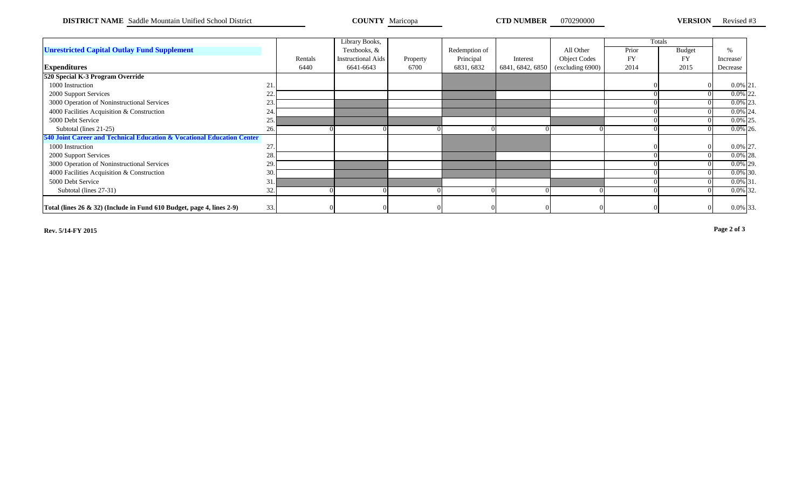**DISTRICT NAME** Saddle Mountain Unified School District **COUNTY Maricopa CTD NUMBER** 070290000 **VERSION** Revised #3

|                                                                                |     |         | Library Books,            |          |               |                  |                                                     |           | Totals        |             |  |
|--------------------------------------------------------------------------------|-----|---------|---------------------------|----------|---------------|------------------|-----------------------------------------------------|-----------|---------------|-------------|--|
| <b>Unrestricted Capital Outlay Fund Supplement</b>                             |     |         | Textbooks, &              |          | Redemption of |                  | All Other                                           | Prior     | <b>Budget</b> | %           |  |
|                                                                                |     | Rentals | <b>Instructional Aids</b> | Property | Principal     | Interest         | <b>Object Codes</b>                                 | <b>FY</b> | <b>FY</b>     | Increase/   |  |
| <b>Expenditures</b>                                                            |     | 6440    | 6641-6643                 | 6700     | 6831, 6832    | 6841, 6842, 6850 | $\left(\frac{\text{excluding}}{\text{6900}}\right)$ | 2014      | 2015          | Decrease    |  |
| 520 Special K-3 Program Override                                               |     |         |                           |          |               |                  |                                                     |           |               |             |  |
| 1000 Instruction                                                               | 21. |         |                           |          |               |                  |                                                     |           |               | $0.0\%$ 21. |  |
| 2000 Support Services                                                          | 22. |         |                           |          |               |                  |                                                     |           |               | $0.0\%$ 22. |  |
| 3000 Operation of Noninstructional Services                                    | 23. |         |                           |          |               |                  |                                                     |           |               | $0.0\%$ 23. |  |
| 4000 Facilities Acquisition & Construction                                     | 24. |         |                           |          |               |                  |                                                     |           |               | $0.0\%$ 24. |  |
| 5000 Debt Service                                                              | 25. |         |                           |          |               |                  |                                                     |           |               | $0.0\%$ 25. |  |
| Subtotal (lines 21-25)                                                         | 26. |         |                           |          |               |                  |                                                     |           |               | $0.0\%$ 26. |  |
| 540 Joint Career and Technical Education & Vocational Education Center         |     |         |                           |          |               |                  |                                                     |           |               |             |  |
| 1000 Instruction                                                               | 27. |         |                           |          |               |                  |                                                     |           |               | 0.0% 27.    |  |
| 2000 Support Services                                                          | 28. |         |                           |          |               |                  |                                                     |           |               | $0.0\%$ 28. |  |
| 3000 Operation of Noninstructional Services                                    | 29. |         |                           |          |               |                  |                                                     |           |               | $0.0\%$ 29. |  |
| 4000 Facilities Acquisition & Construction                                     | 30. |         |                           |          |               |                  |                                                     |           |               | $0.0\%$ 30. |  |
| 5000 Debt Service                                                              | 31. |         |                           |          |               |                  |                                                     |           |               | $0.0\%$ 31. |  |
| Subtotal (lines 27-31)                                                         | 32. |         |                           |          |               |                  |                                                     |           |               | $0.0\%$ 32. |  |
|                                                                                |     |         |                           |          |               |                  |                                                     |           |               |             |  |
| Total (lines $26 \& 32$ ) (Include in Fund $610$ Budget, page 4, lines $2-9$ ) | 33. |         |                           |          |               |                  |                                                     |           |               | 0.0% 33.    |  |

**Rev. 5/14-FY 2015 Page 2 of 3**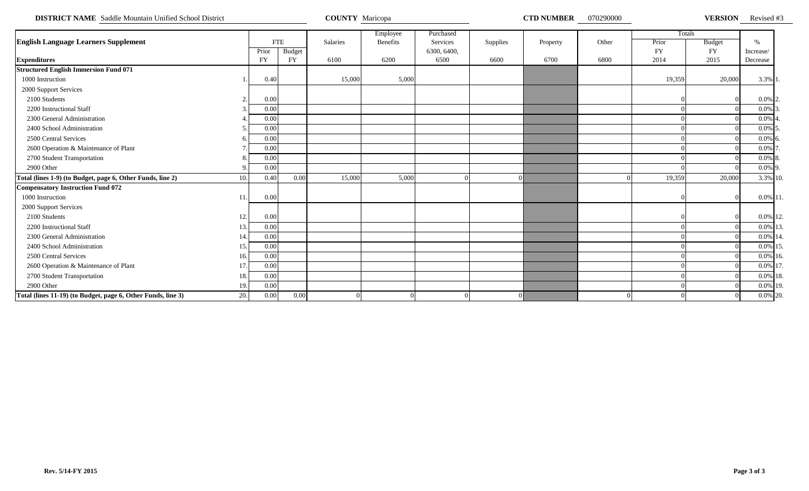**DISTRICT NAME** Saddle Mountain Unified School District **COUNTY Maricopa COUNTY Maricopa COUNTY MARICOL COUNTY MARICOPA COUNTY MARICOPA COUNTY 1999000 COUNTY 1999000 COUNTY 1999000 COUNTY 1999000 COUNTY 1** 

VERSION Revised #3

|                                                                     |           |               |          | Employee        | Purchased   |          |          |       |           | Totals        |               |  |
|---------------------------------------------------------------------|-----------|---------------|----------|-----------------|-------------|----------|----------|-------|-----------|---------------|---------------|--|
| <b>English Language Learners Supplement</b>                         |           | <b>FTE</b>    | Salaries | <b>Benefits</b> | Services    | Supplies | Property | Other | Prior     | <b>Budget</b> | $\frac{0}{6}$ |  |
|                                                                     | Prior     | <b>Budget</b> |          |                 | 6300, 6400, |          |          |       | <b>FY</b> | <b>FY</b>     | Increase/     |  |
| <b>Expenditures</b>                                                 | <b>FY</b> | <b>FY</b>     | 6100     | 6200            | 6500        | 6600     | 6700     | 6800  | 2014      | 2015          | Decrease      |  |
| <b>Structured English Immersion Fund 071</b>                        |           |               |          |                 |             |          |          |       |           |               |               |  |
| 1000 Instruction                                                    | 0.40      |               | 15,000   | 5,000           |             |          |          |       | 19,359    | 20,000        | 3.3% 1.       |  |
| 2000 Support Services                                               |           |               |          |                 |             |          |          |       |           |               |               |  |
| 2100 Students                                                       | 0.00      |               |          |                 |             |          |          |       |           |               | $0.0\%$ 2     |  |
| 2200 Instructional Staff                                            | 0.00      |               |          |                 |             |          |          |       |           |               | $0.0\%$ 3     |  |
| 2300 General Administration                                         | 0.00      |               |          |                 |             |          |          |       |           |               | $0.0\%$ 4     |  |
| 2400 School Administration                                          | 0.00      |               |          |                 |             |          |          |       |           |               | $0.0\%$ 5     |  |
| 2500 Central Services                                               | 0.00      |               |          |                 |             |          |          |       |           |               | $0.0\%$ 6     |  |
| 2600 Operation & Maintenance of Plant                               | 0.00      |               |          |                 |             |          |          |       |           |               | $0.0\%$ 7     |  |
| 2700 Student Transportation                                         | 0.00      |               |          |                 |             |          |          |       |           |               | $0.0\%$ 8.    |  |
| 2900 Other                                                          | 0.00      |               |          |                 |             |          |          |       |           |               | $0.0\%$ 9.    |  |
| Total (lines 1-9) (to Budget, page 6, Other Funds, line 2)<br>10.   | 0.40      | 0.00          | 15,000   | 5,000           |             |          |          |       | 19,359    | 20,000        | 3.3% 10.      |  |
| <b>Compensatory Instruction Fund 072</b>                            |           |               |          |                 |             |          |          |       |           |               |               |  |
| 1000 Instruction<br>11                                              | 0.00      |               |          |                 |             |          |          |       |           |               | 0.0% 11       |  |
| 2000 Support Services                                               |           |               |          |                 |             |          |          |       |           |               |               |  |
| 2100 Students<br>12.                                                | 0.00      |               |          |                 |             |          |          |       |           |               | 0.0% 12.      |  |
| 2200 Instructional Staff<br>13.                                     | 0.00      |               |          |                 |             |          |          |       |           |               | 0.0% 13.      |  |
| 2300 General Administration<br>14.                                  | 0.00      |               |          |                 |             |          |          |       |           |               | 0.0% 14.      |  |
| 2400 School Administration<br>15.                                   | 0.00      |               |          |                 |             |          |          |       |           |               | 0.0% 15       |  |
| 2500 Central Services<br>16.                                        | 0.00      |               |          |                 |             |          |          |       |           |               | 0.0% 16.      |  |
| 2600 Operation & Maintenance of Plant<br>17                         | 0.00      |               |          |                 |             |          |          |       |           |               | 0.0% 17       |  |
| 2700 Student Transportation<br>18.                                  | 0.00      |               |          |                 |             |          |          |       |           |               | $0.0\%$ 18.   |  |
| 2900 Other<br>19.                                                   | 0.00      |               |          |                 |             |          |          |       |           |               | 0.0% 19.      |  |
| Total (lines 11-19) (to Budget, page 6, Other Funds, line 3)<br>20. | 0.00      | 0.00          |          |                 |             |          |          |       |           |               | 0.0% 20.      |  |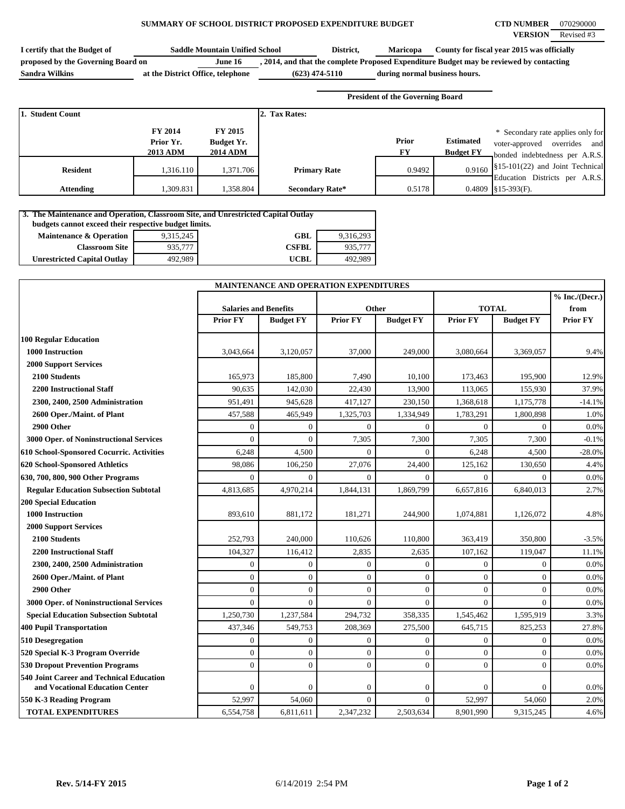### **SUMMARY OF SCHOOL DISTRICT PROPOSED EXPENDITURE BUDGET CTD NUMBER** 070290000

| I certify that the Budget of       | <b>Saddle Mountain Unified School</b> |                  | District, | <b>Maricopa</b>               | County for fiscal year 2015 was officially                                              |
|------------------------------------|---------------------------------------|------------------|-----------|-------------------------------|-----------------------------------------------------------------------------------------|
| proposed by the Governing Board on | June 16                               |                  |           |                               | , 2014, and that the complete Proposed Expenditure Budget may be reviewed by contacting |
| <b>Sandra Wilkins</b>              | at the District Office, telephone     | $(623)$ 474-5110 |           | during normal business hours. |                                                                                         |

**President of the Governing Board**

| 1. Student Count |                                                |                                                 | 2. Tax Rates:          |             |                                      |                                                                                                           |
|------------------|------------------------------------------------|-------------------------------------------------|------------------------|-------------|--------------------------------------|-----------------------------------------------------------------------------------------------------------|
|                  | <b>FY 2014</b><br>Prior Yr.<br><b>2013 ADM</b> | <b>FY 2015</b><br>Budget Yr.<br><b>2014 ADM</b> |                        | Prior<br>FY | <b>Estimated</b><br><b>Budget FY</b> | * Secondary rate applies only for<br>and<br>overrides<br>voter-approved<br>bonded indebtedness per A.R.S. |
| <b>Resident</b>  | 1,316.110                                      | 1,371.706                                       | <b>Primary Rate</b>    | 0.9492      |                                      | $0.9160$ \\$15-101(22) and Joint Technical<br>Education Districts per A.R.S.                              |
| Attending        | .309.831                                       | 1.358.804                                       | <b>Secondary Rate*</b> | 0.5178      |                                      | $0.4809$ \\$15-393(F).                                                                                    |

| 3. The Maintenance and Operation, Classroom Site, and Unrestricted Capital Outlay |           |              |           |  |  |
|-----------------------------------------------------------------------------------|-----------|--------------|-----------|--|--|
| budgets cannot exceed their respective budget limits.                             |           |              |           |  |  |
| <b>Maintenance &amp; Operation</b>                                                | 9,315,245 | GBL          | 9.316.293 |  |  |
| <b>Classroom Site</b>                                                             | 935,777   | <b>CSFBL</b> | 935,777   |  |  |
| <b>Unrestricted Capital Outlay</b>                                                | 492.989   | <b>UCBL</b>  | 492.989   |  |  |

|                                                                             |                              | <b>MAINTENANCE AND OPERATION EXPENDITURES</b> |                  |                  |                 |                  |                          |
|-----------------------------------------------------------------------------|------------------------------|-----------------------------------------------|------------------|------------------|-----------------|------------------|--------------------------|
|                                                                             | <b>Salaries and Benefits</b> |                                               |                  | Other            | <b>TOTAL</b>    |                  | % Inc. / (Decr.)<br>from |
|                                                                             | <b>Prior FY</b>              | <b>Budget FY</b>                              | <b>Prior FY</b>  | <b>Budget FY</b> | <b>Prior FY</b> | <b>Budget FY</b> | <b>Prior FY</b>          |
| <b>100 Regular Education</b>                                                |                              |                                               |                  |                  |                 |                  |                          |
| 1000 Instruction                                                            | 3,043,664                    | 3,120,057                                     | 37,000           | 249,000          | 3,080,664       | 3,369,057        | 9.4%                     |
| <b>2000 Support Services</b>                                                |                              |                                               |                  |                  |                 |                  |                          |
| 2100 Students                                                               | 165,973                      | 185,800                                       | 7,490            | 10,100           | 173,463         | 195,900          | 12.9%                    |
| <b>2200 Instructional Staff</b>                                             | 90,635                       | 142,030                                       | 22,430           | 13,900           | 113,065         | 155,930          | 37.9%                    |
| 2300, 2400, 2500 Administration                                             | 951,491                      | 945,628                                       | 417,127          | 230,150          | 1,368,618       | 1,175,778        | $-14.1%$                 |
| 2600 Oper./Maint. of Plant                                                  | 457,588                      | 465,949                                       | 1,325,703        | 1,334,949        | 1,783,291       | 1,800,898        | 1.0%                     |
| 2900 Other                                                                  | $\Omega$                     | $\mathbf{0}$                                  | $\Omega$         | $\Omega$         | $\theta$        | $\Omega$         | 0.0%                     |
| 3000 Oper. of Noninstructional Services                                     | $\Omega$                     | $\mathbf{0}$                                  | 7,305            | 7,300            | 7,305           | 7,300            | $-0.1%$                  |
| 610 School-Sponsored Cocurric. Activities                                   | 6,248                        | 4,500                                         | $\theta$         | $\theta$         | 6,248           | 4,500            | $-28.0%$                 |
| 620 School-Sponsored Athletics                                              | 98,086                       | 106,250                                       | 27,076           | 24,400           | 125,162         | 130,650          | 4.4%                     |
| 630, 700, 800, 900 Other Programs                                           | $\Omega$                     | $\Omega$                                      | $\Omega$         | $\Omega$         | $\theta$        | $\Omega$         | 0.0%                     |
| <b>Regular Education Subsection Subtotal</b>                                | 4,813,685                    | 4,970,214                                     | 1,844,131        | 1,869,799        | 6,657,816       | 6,840,013        | 2.7%                     |
| <b>200 Special Education</b>                                                |                              |                                               |                  |                  |                 |                  |                          |
| 1000 Instruction                                                            | 893,610                      | 881,172                                       | 181,271          | 244,900          | 1,074,881       | 1,126,072        | 4.8%                     |
| <b>2000 Support Services</b>                                                |                              |                                               |                  |                  |                 |                  |                          |
| 2100 Students                                                               | 252,793                      | 240,000                                       | 110,626          | 110,800          | 363,419         | 350,800          | $-3.5%$                  |
| <b>2200 Instructional Staff</b>                                             | 104,327                      | 116,412                                       | 2,835            | 2,635            | 107.162         | 119,047          | 11.1%                    |
| 2300, 2400, 2500 Administration                                             | $\theta$                     | $\mathbf{0}$                                  | $\Omega$         | $\Omega$         | $\theta$        | $\Omega$         | 0.0%                     |
| 2600 Oper./Maint. of Plant                                                  | $\theta$                     | $\overline{0}$                                | $\mathbf{0}$     | $\overline{0}$   | $\overline{0}$  | $\overline{0}$   | 0.0%                     |
| 2900 Other                                                                  | $\Omega$                     | $\mathbf{0}$                                  | $\overline{0}$   | $\overline{0}$   | $\theta$        | $\mathbf{0}$     | 0.0%                     |
| 3000 Oper. of Noninstructional Services                                     | $\theta$                     | $\Omega$                                      | $\Omega$         | $\overline{0}$   | $\theta$        | $\Omega$         | 0.0%                     |
| <b>Special Education Subsection Subtotal</b>                                | 1,250,730                    | 1,237,584                                     | 294,732          | 358,335          | 1,545,462       | 1,595,919        | 3.3%                     |
| <b>400 Pupil Transportation</b>                                             | 437,346                      | 549,753                                       | 208,369          | 275,500          | 645,715         | 825,253          | 27.8%                    |
| 510 Desegregation                                                           | $\theta$                     | $\mathbf{0}$                                  | $\Omega$         | $\overline{0}$   | $\theta$        | $\theta$         | 0.0%                     |
| 520 Special K-3 Program Override                                            | $\mathbf{0}$                 | $\mathbf{0}$                                  | $\boldsymbol{0}$ | $\boldsymbol{0}$ | $\overline{0}$  | $\overline{0}$   | 0.0%                     |
| <b>530 Dropout Prevention Programs</b>                                      | $\theta$                     | $\theta$                                      | $\Omega$         | $\overline{0}$   | $\theta$        | $\theta$         | 0.0%                     |
| 540 Joint Career and Technical Education<br>and Vocational Education Center | $\Omega$                     | $\mathbf{0}$                                  | $\boldsymbol{0}$ | $\boldsymbol{0}$ | $\theta$        | $\mathbf{0}$     | 0.0%                     |
| 550 K-3 Reading Program                                                     | 52,997                       | 54,060                                        | $\Omega$         | $\overline{0}$   | 52,997          | 54,060           | 2.0%                     |
| <b>TOTAL EXPENDITURES</b>                                                   | 6,554,758                    | 6,811,611                                     | 2,347,232        | 2,503,634        | 8,901,990       | 9,315,245        | 4.6%                     |
|                                                                             |                              |                                               |                  |                  |                 |                  |                          |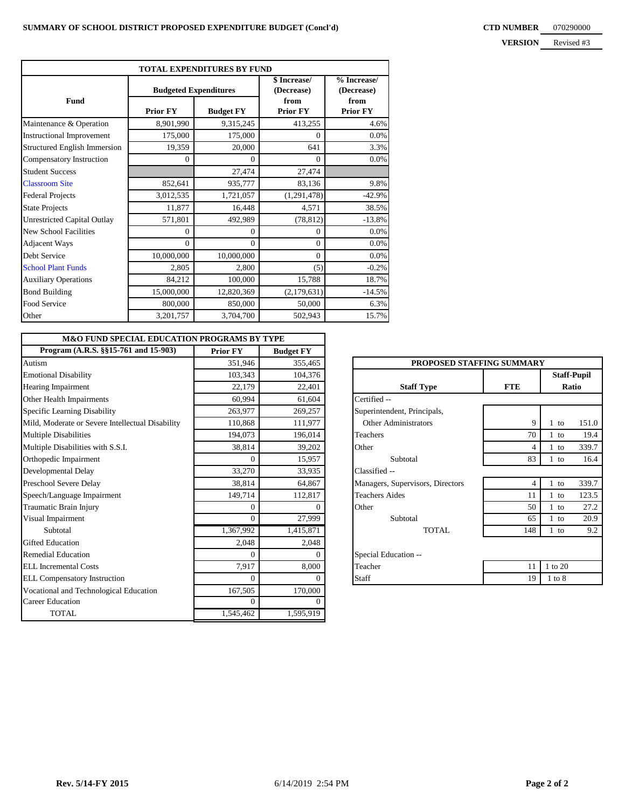| <b>TOTAL EXPENDITURES BY FUND</b>   |                              |                  |                            |                           |  |  |  |  |
|-------------------------------------|------------------------------|------------------|----------------------------|---------------------------|--|--|--|--|
|                                     | <b>Budgeted Expenditures</b> |                  | \$ Increase/<br>(Decrease) | % Increase/<br>(Decrease) |  |  |  |  |
| <b>Fund</b>                         | <b>Prior FY</b>              | <b>Budget FY</b> | from<br><b>Prior FY</b>    | from<br><b>Prior FY</b>   |  |  |  |  |
| Maintenance & Operation             | 8,901,990                    | 9,315,245        | 413,255                    | 4.6%                      |  |  |  |  |
| <b>Instructional Improvement</b>    | 175,000                      | 175,000          | $\Omega$                   | 0.0%                      |  |  |  |  |
| <b>Structured English Immersion</b> | 19,359                       | 20,000           | 641                        | 3.3%                      |  |  |  |  |
| Compensatory Instruction            | $\Omega$                     | $\Omega$         | $\Omega$                   | 0.0%                      |  |  |  |  |
| <b>Student Success</b>              |                              | 27,474           | 27,474                     |                           |  |  |  |  |
| <b>Classroom Site</b>               | 852,641                      | 935,777          | 83,136                     | 9.8%                      |  |  |  |  |
| <b>Federal Projects</b>             | 3,012,535                    | 1,721,057        | (1,291,478)                | $-42.9%$                  |  |  |  |  |
| <b>State Projects</b>               | 11,877                       | 16,448           | 4,571                      | 38.5%                     |  |  |  |  |
| <b>Unrestricted Capital Outlay</b>  | 571,801                      | 492,989          | (78, 812)                  | $-13.8%$                  |  |  |  |  |
| <b>New School Facilities</b>        | $\Omega$                     | $\Omega$         | $\Omega$                   | 0.0%                      |  |  |  |  |
| <b>Adjacent Ways</b>                | $\mathbf{0}$                 | $\Omega$         | $\theta$                   | 0.0%                      |  |  |  |  |
| Debt Service                        | 10,000,000                   | 10,000,000       | $\Omega$                   | $0.0\%$                   |  |  |  |  |
| <b>School Plant Funds</b>           | 2,805                        | 2,800            | (5)                        | $-0.2%$                   |  |  |  |  |
| <b>Auxiliary Operations</b>         | 84,212                       | 100,000          | 15,788                     | 18.7%                     |  |  |  |  |
| <b>Bond Building</b>                | 15,000,000                   | 12,820,369       | (2,179,631)                | $-14.5%$                  |  |  |  |  |
| Food Service                        | 800,000                      | 850,000          | 50,000                     | 6.3%                      |  |  |  |  |
| Other                               | 3,201,757                    | 3,704,700        | 502,943                    | 15.7%                     |  |  |  |  |

| <b>M&amp;O FUND SPECIAL EDUCATION PROGRAMS BY TYPE</b> |                 |                  |                                  |                |                    |
|--------------------------------------------------------|-----------------|------------------|----------------------------------|----------------|--------------------|
| Program (A.R.S. §§15-761 and 15-903)                   | <b>Prior FY</b> | <b>Budget FY</b> |                                  |                |                    |
| Autism                                                 | 351,946         | 355,465          | PROPOSED STAFFING SUMMARY        |                |                    |
| <b>Emotional Disability</b>                            | 103,343         | 104,376          |                                  |                | <b>Staff-Pupil</b> |
| Hearing Impairment                                     | 22,179          | 22,401           | <b>Staff Type</b>                | <b>FTE</b>     | Ratio              |
| Other Health Impairments                               | 60,994          | 61,604           | Certified --                     |                |                    |
| Specific Learning Disability                           | 263,977         | 269,257          | Superintendent, Principals,      |                |                    |
| Mild, Moderate or Severe Intellectual Disability       | 110,868         | 111.977          | Other Administrators             | 9              | 151.0<br>$1$ to    |
| <b>Multiple Disabilities</b>                           | 194,073         | 196,014          | <b>Teachers</b>                  | 70             | 19.4<br>$1$ to     |
| Multiple Disabilities with S.S.I.                      | 38,814          | 39,202           | Other                            | $\overline{4}$ | 339.7<br>$1$ to    |
| Orthopedic Impairment                                  | $\Omega$        | 15,957           | Subtotal                         | 83             | 16.4<br>$1$ to     |
| Developmental Delay                                    | 33,270          | 33,935           | Classified --                    |                |                    |
| Preschool Severe Delay                                 | 38,814          | 64,867           | Managers, Supervisors, Directors | $\overline{4}$ | 339.7<br>$1$ to    |
| Speech/Language Impairment                             | 149,714         | 112,817          | <b>Teachers Aides</b>            | 11             | 123.5<br>$1$ to    |
| Traumatic Brain Injury                                 | $\overline{0}$  |                  | Other                            | 50             | 27.2<br>$1$ to     |
| <b>Visual Impairment</b>                               | $\Omega$        | 27,999           | Subtotal                         | 65             | 20.9<br>$1$ to     |
| Subtotal                                               | 1,367,992       | 1,415,871        | <b>TOTAL</b>                     | 148            | 9.2<br>$1$ to      |
| <b>Gifted Education</b>                                | 2,048           | 2,048            |                                  |                |                    |
| <b>Remedial Education</b>                              | $\Omega$        |                  | Special Education --             |                |                    |
| <b>ELL</b> Incremental Costs                           | 7,917           | 8,000            | Teacher                          | 11             | 1 to 20            |
| <b>ELL Compensatory Instruction</b>                    | $\Omega$        |                  | Staff                            | 19             | $1$ to $8$         |
| Vocational and Technological Education                 | 167,505         | 170,000          |                                  |                |                    |
| <b>Career Education</b>                                | $\Omega$        |                  |                                  |                |                    |
| <b>TOTAL</b>                                           | 1,545,462       | 1,595,919        |                                  |                |                    |

| PROPOSED STAFFING SUMMARY        |                |                             |       |  |  |  |  |  |
|----------------------------------|----------------|-----------------------------|-------|--|--|--|--|--|
| <b>Staff Type</b>                | <b>FTE</b>     | <b>Staff-Pupil</b><br>Ratio |       |  |  |  |  |  |
| Certified --                     |                |                             |       |  |  |  |  |  |
| Superintendent, Principals,      |                |                             |       |  |  |  |  |  |
| Other Administrators             | 9              | $1$ to                      | 151.0 |  |  |  |  |  |
| Teachers                         | 70             | $1$ to                      | 19.4  |  |  |  |  |  |
| Other                            | 4              | $1$ to                      | 339.7 |  |  |  |  |  |
| Subtotal                         | 83             | 1 to                        | 16.4  |  |  |  |  |  |
| Classified --                    |                |                             |       |  |  |  |  |  |
| Managers, Supervisors, Directors | $\overline{4}$ | $1$ to                      | 339.7 |  |  |  |  |  |
| <b>Teachers Aides</b>            | 11             | $1$ to                      | 123.5 |  |  |  |  |  |
| Other                            | 50             | $1$ to                      | 27.2  |  |  |  |  |  |
| Subtotal                         | 65             | $1$ to                      | 20.9  |  |  |  |  |  |
| TOTAL.                           | 148            | $1$ to                      | 9.2   |  |  |  |  |  |
| Special Education --             |                |                             |       |  |  |  |  |  |
| Teacher                          | 11             | 1 to 20                     |       |  |  |  |  |  |
| Staff                            | 19             | $1$ to $8$                  |       |  |  |  |  |  |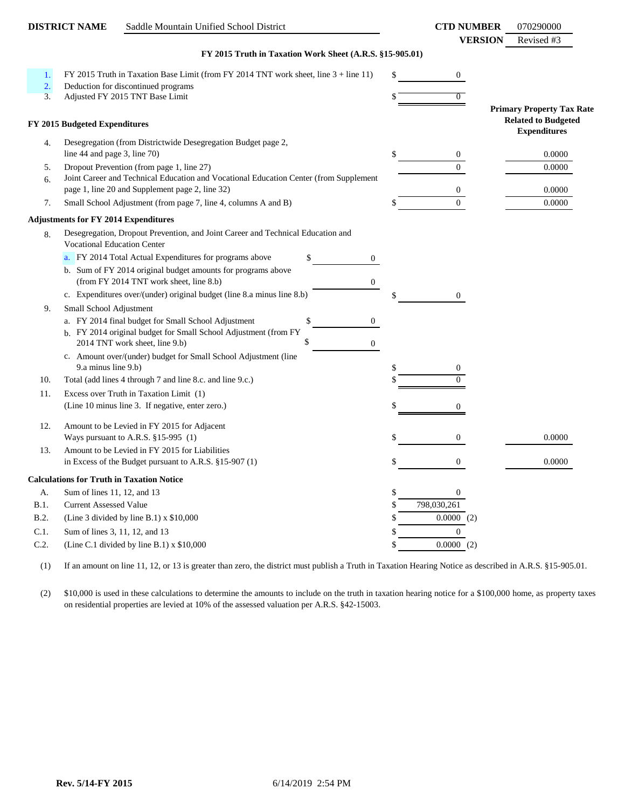|                  | <b>DISTRICT NAME</b>                        | Saddle Mountain Unified School District                                                                 |                        |    | <b>CTD NUMBER</b><br><b>VERSION</b> | 070290000<br>Revised #3                                                               |
|------------------|---------------------------------------------|---------------------------------------------------------------------------------------------------------|------------------------|----|-------------------------------------|---------------------------------------------------------------------------------------|
|                  |                                             | FY 2015 Truth in Taxation Work Sheet (A.R.S. §15-905.01)                                                |                        |    |                                     |                                                                                       |
| 1.               |                                             | FY 2015 Truth in Taxation Base Limit (from FY 2014 TNT work sheet, line 3 + line 11)                    |                        | \$ | $\boldsymbol{0}$                    |                                                                                       |
| $\overline{2}$ . |                                             | Deduction for discontinued programs                                                                     |                        |    |                                     |                                                                                       |
| 3.               |                                             | Adjusted FY 2015 TNT Base Limit                                                                         |                        |    | $\overline{0}$                      |                                                                                       |
|                  | FY 2015 Budgeted Expenditures               |                                                                                                         |                        |    |                                     | <b>Primary Property Tax Rate</b><br><b>Related to Budgeted</b><br><b>Expenditures</b> |
| 4.               | line 44 and page 3, line 70)                | Desegregation (from Districtwide Desegregation Budget page 2,                                           |                        | \$ | 0                                   | 0.0000                                                                                |
| 5.               |                                             | Dropout Prevention (from page 1, line 27)                                                               |                        |    | $\Omega$                            | 0.0000                                                                                |
| 6.               |                                             | Joint Career and Technical Education and Vocational Education Center (from Supplement                   |                        |    |                                     |                                                                                       |
| 7.               |                                             | page 1, line 20 and Supplement page 2, line 32)                                                         |                        |    | $\mathbf{0}$<br>$\overline{0}$      | 0.0000<br>0.0000                                                                      |
|                  |                                             | Small School Adjustment (from page 7, line 4, columns A and B)                                          |                        |    |                                     |                                                                                       |
|                  | <b>Adjustments for FY 2014 Expenditures</b> |                                                                                                         |                        |    |                                     |                                                                                       |
| 8.               | <b>Vocational Education Center</b>          | Desegregation, Dropout Prevention, and Joint Career and Technical Education and                         |                        |    |                                     |                                                                                       |
|                  |                                             | a. FY 2014 Total Actual Expenditures for programs above                                                 | \$<br>$\overline{0}$   |    |                                     |                                                                                       |
|                  |                                             | b. Sum of FY 2014 original budget amounts for programs above<br>(from FY 2014 TNT work sheet, line 8.b) | $\boldsymbol{0}$       |    |                                     |                                                                                       |
|                  |                                             | c. Expenditures over/(under) original budget (line 8.a minus line 8.b)                                  |                        |    | $\boldsymbol{0}$                    |                                                                                       |
| 9.               | Small School Adjustment                     |                                                                                                         |                        |    |                                     |                                                                                       |
|                  |                                             | a. FY 2014 final budget for Small School Adjustment                                                     | \$<br>0                |    |                                     |                                                                                       |
|                  |                                             | b. FY 2014 original budget for Small School Adjustment (from FY                                         |                        |    |                                     |                                                                                       |
|                  |                                             | 2014 TNT work sheet, line 9.b)                                                                          | \$<br>$\boldsymbol{0}$ |    |                                     |                                                                                       |
|                  | 9.a minus line 9.b)                         | c. Amount over/(under) budget for Small School Adjustment (line                                         |                        | \$ | 0                                   |                                                                                       |
| 10.              |                                             | Total (add lines 4 through 7 and line 8.c. and line 9.c.)                                               |                        |    |                                     |                                                                                       |
| 11.              |                                             | Excess over Truth in Taxation Limit (1)                                                                 |                        |    |                                     |                                                                                       |
|                  |                                             | (Line 10 minus line 3. If negative, enter zero.)                                                        |                        |    | 0                                   |                                                                                       |
|                  |                                             |                                                                                                         |                        |    |                                     |                                                                                       |
| 12.              |                                             | Amount to be Levied in FY 2015 for Adjacent                                                             |                        |    |                                     |                                                                                       |
| 13.              |                                             | Ways pursuant to A.R.S. §15-995 (1)<br>Amount to be Levied in FY 2015 for Liabilities                   |                        | S  | 0                                   | 0.0000                                                                                |
|                  |                                             | in Excess of the Budget pursuant to A.R.S. §15-907 (1)                                                  |                        |    | 0                                   | 0.0000                                                                                |
|                  |                                             | <b>Calculations for Truth in Taxation Notice</b>                                                        |                        |    |                                     |                                                                                       |
| А.               | Sum of lines 11, 12, and 13                 |                                                                                                         |                        | \$ | $\boldsymbol{0}$                    |                                                                                       |
| B.1.             | <b>Current Assessed Value</b>               |                                                                                                         |                        | \$ | 798,030,261                         |                                                                                       |
| B.2.             |                                             | (Line 3 divided by line B.1) $x$ \$10,000                                                               |                        | \$ | 0.0000(2)                           |                                                                                       |
| C.1.             |                                             | Sum of lines 3, 11, 12, and 13                                                                          |                        | \$ | $\boldsymbol{0}$                    |                                                                                       |
| C.2.             |                                             | (Line C.1 divided by line B.1) x \$10,000                                                               |                        | \$ | 0.0000(2)                           |                                                                                       |
|                  |                                             |                                                                                                         |                        |    |                                     |                                                                                       |

(1) If an amount on line 11, 12, or 13 is greater than zero, the district must publish a Truth in Taxation Hearing Notice as described in A.R.S. §15-905.01.

(2) \$10,000 is used in these calculations to determine the amounts to include on the truth in taxation hearing notice for a \$100,000 home, as property taxes on residential properties are levied at 10% of the assessed valuation per A.R.S. §42-15003.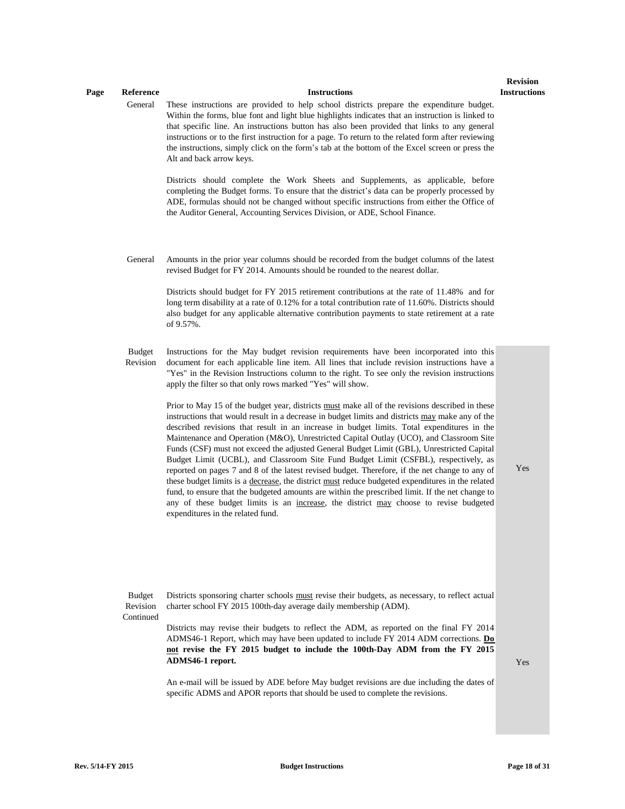#### **Page Reference Instructions**

General These instructions are provided to help school districts prepare the expenditure budget. Within the forms, blue font and light blue highlights indicates that an instruction is linked to that specific line. An instructions button has also been provided that links to any general instructions or to the first instruction for a page. To return to the related form after reviewing the instructions, simply click on the form's tab at the bottom of the Excel screen or press the Alt and back arrow keys.

> Districts should complete the Work Sheets and Supplements, as applicable, before completing the Budget forms. To ensure that the district's data can be properly processed by ADE, formulas should not be changed without specific instructions from either the Office of the Auditor General, Accounting Services Division, or ADE, School Finance.

General Amounts in the prior year columns should be recorded from the budget columns of the latest revised Budget for FY 2014. Amounts should be rounded to the nearest dollar.

> Districts should budget for FY 2015 retirement contributions at the rate of 11.48% and for long term disability at a rate of 0.12% for a total contribution rate of 11.60%. Districts should also budget for any applicable alternative contribution payments to state retirement at a rate of 9.57%.

Budget Revision Instructions for the May budget revision requirements have been incorporated into this document for each applicable line item. All lines that include revision instructions have a "Yes" in the Revision Instructions column to the right. To see only the revision instructions apply the filter so that only rows marked "Yes" will show.

> Prior to May 15 of the budget year, districts must make all of the revisions described in these instructions that would result in a decrease in budget limits and districts may make any of the described revisions that result in an increase in budget limits. Total expenditures in the Maintenance and Operation (M&O), Unrestricted Capital Outlay (UCO), and Classroom Site Funds (CSF) must not exceed the adjusted General Budget Limit (GBL), Unrestricted Capital Budget Limit (UCBL), and Classroom Site Fund Budget Limit (CSFBL), respectively, as reported on pages 7 and 8 of the latest revised budget. Therefore, if the net change to any of these budget limits is a decrease, the district must reduce budgeted expenditures in the related fund, to ensure that the budgeted amounts are within the prescribed limit. If the net change to any of these budget limits is an increase, the district may choose to revise budgeted expenditures in the related fund.

Yes

Budget Revision Districts sponsoring charter schools must revise their budgets, as necessary, to reflect actual charter school FY 2015 100th-day average daily membership (ADM).

**Continued** 

Districts may revise their budgets to reflect the ADM, as reported on the final FY 2014 ADMS46-1 Report, which may have been updated to include FY 2014 ADM corrections. **Do not revise the FY 2015 budget to include the 100th-Day ADM from the FY 2015 ADMS46-1 report.**

 $V_{AC}$ 

An e-mail will be issued by ADE before May budget revisions are due including the dates of specific ADMS and APOR reports that should be used to complete the revisions.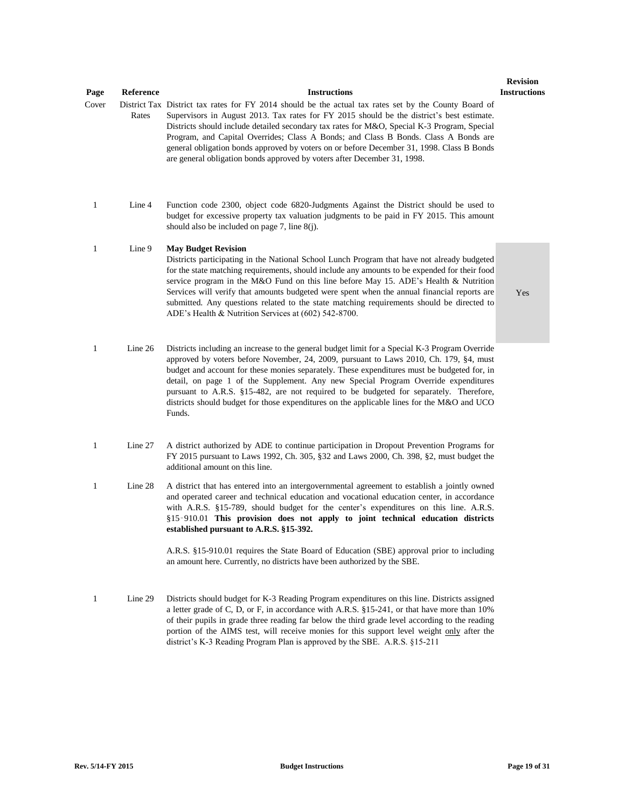| Page         | Reference | <b>Instructions</b>                                                                                                                                                                                                                                                                                                                                                                                                                                                                                                                                                             | леуім<br>Instructi |
|--------------|-----------|---------------------------------------------------------------------------------------------------------------------------------------------------------------------------------------------------------------------------------------------------------------------------------------------------------------------------------------------------------------------------------------------------------------------------------------------------------------------------------------------------------------------------------------------------------------------------------|--------------------|
| Cover        | Rates     | District Tax District tax rates for FY 2014 should be the actual tax rates set by the County Board of<br>Supervisors in August 2013. Tax rates for FY 2015 should be the district's best estimate.<br>Districts should include detailed secondary tax rates for M&O, Special K-3 Program, Special<br>Program, and Capital Overrides; Class A Bonds; and Class B Bonds. Class A Bonds are<br>general obligation bonds approved by voters on or before December 31, 1998. Class B Bonds<br>are general obligation bonds approved by voters after December 31, 1998.               |                    |
| $\mathbf{1}$ | Line 4    | Function code 2300, object code 6820-Judgments Against the District should be used to<br>budget for excessive property tax valuation judgments to be paid in FY 2015. This amount<br>should also be included on page 7, line $8(j)$ .                                                                                                                                                                                                                                                                                                                                           |                    |
| 1            | Line 9    | <b>May Budget Revision</b><br>Districts participating in the National School Lunch Program that have not already budgeted<br>for the state matching requirements, should include any amounts to be expended for their food<br>service program in the M&O Fund on this line before May 15. ADE's Health & Nutrition<br>Services will verify that amounts budgeted were spent when the annual financial reports are<br>submitted. Any questions related to the state matching requirements should be directed to<br>ADE's Health & Nutrition Services at $(602)$ 542-8700.        | Yes                |
| $\mathbf{1}$ | Line 26   | Districts including an increase to the general budget limit for a Special K-3 Program Override<br>approved by voters before November, 24, 2009, pursuant to Laws 2010, Ch. 179, §4, must<br>budget and account for these monies separately. These expenditures must be budgeted for, in<br>detail, on page 1 of the Supplement. Any new Special Program Override expenditures<br>pursuant to A.R.S. §15-482, are not required to be budgeted for separately. Therefore,<br>districts should budget for those expenditures on the applicable lines for the M&O and UCO<br>Funds. |                    |
| 1            | Line 27   | A district authorized by ADE to continue participation in Dropout Prevention Programs for<br>FY 2015 pursuant to Laws 1992, Ch. 305, §32 and Laws 2000, Ch. 398, §2, must budget the<br>additional amount on this line.                                                                                                                                                                                                                                                                                                                                                         |                    |
| $\mathbf{1}$ | Line 28   | A district that has entered into an intergovernmental agreement to establish a jointly owned<br>and operated career and technical education and vocational education center, in accordance<br>with A.R.S. §15-789, should budget for the center's expenditures on this line. A.R.S.<br>§15-910.01 This provision does not apply to joint technical education districts<br>established pursuant to A.R.S. §15-392.                                                                                                                                                               |                    |
|              |           | A.R.S. §15-910.01 requires the State Board of Education (SBE) approval prior to including<br>an amount here. Currently, no districts have been authorized by the SBE.                                                                                                                                                                                                                                                                                                                                                                                                           |                    |
| $\mathbf{1}$ | Line 29   | Districts should budget for K-3 Reading Program expenditures on this line. Districts assigned<br>a letter grade of C, D, or F, in accordance with A.R.S. §15-241, or that have more than 10%<br>of their pupils in grade three reading far below the third grade level according to the reading<br>portion of the AIMS test, will receive monies for this support level weight only after the                                                                                                                                                                                   |                    |

district's K-3 Reading Program Plan is approved by the SBE. A.R.S. §15-211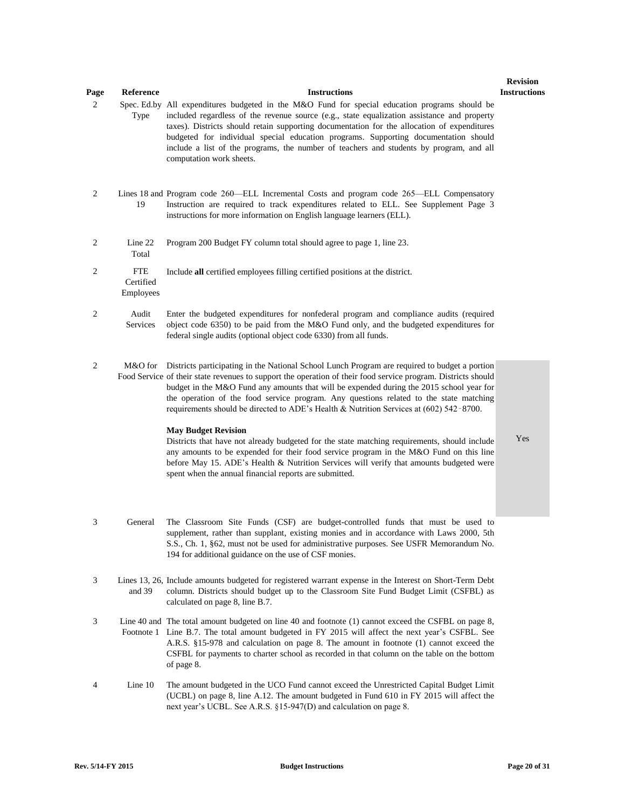| Page           | Reference                            | <b>Instructions</b>                                                                                                                                                                                                                                                                                                                                                                                                                                                                                        | revision<br><b>Instructions</b> |
|----------------|--------------------------------------|------------------------------------------------------------------------------------------------------------------------------------------------------------------------------------------------------------------------------------------------------------------------------------------------------------------------------------------------------------------------------------------------------------------------------------------------------------------------------------------------------------|---------------------------------|
| 2              | Type                                 | Spec. Ed.by All expenditures budgeted in the M&O Fund for special education programs should be<br>included regardless of the revenue source (e.g., state equalization assistance and property<br>taxes). Districts should retain supporting documentation for the allocation of expenditures<br>budgeted for individual special education programs. Supporting documentation should<br>include a list of the programs, the number of teachers and students by program, and all<br>computation work sheets. |                                 |
| $\mathbf{2}$   | 19                                   | Lines 18 and Program code 260—ELL Incremental Costs and program code 265—ELL Compensatory<br>Instruction are required to track expenditures related to ELL. See Supplement Page 3<br>instructions for more information on English language learners (ELL).                                                                                                                                                                                                                                                 |                                 |
| $\overline{2}$ | Line 22<br>Total                     | Program 200 Budget FY column total should agree to page 1, line 23.                                                                                                                                                                                                                                                                                                                                                                                                                                        |                                 |
| $\overline{2}$ | <b>FTE</b><br>Certified<br>Employees | Include all certified employees filling certified positions at the district.                                                                                                                                                                                                                                                                                                                                                                                                                               |                                 |
| $\overline{c}$ | Audit<br>Services                    | Enter the budgeted expenditures for nonfederal program and compliance audits (required<br>object code 6350) to be paid from the M&O Fund only, and the budgeted expenditures for<br>federal single audits (optional object code 6330) from all funds.                                                                                                                                                                                                                                                      |                                 |
| $\overline{2}$ | M&O for                              | Districts participating in the National School Lunch Program are required to budget a portion<br>Food Service of their state revenues to support the operation of their food service program. Districts should<br>budget in the M&O Fund any amounts that will be expended during the 2015 school year for<br>the operation of the food service program. Any questions related to the state matching<br>requirements should be directed to ADE's Health & Nutrition Services at (602) 542-8700.            |                                 |
|                |                                      | <b>May Budget Revision</b><br>Districts that have not already budgeted for the state matching requirements, should include<br>any amounts to be expended for their food service program in the M&O Fund on this line<br>before May 15. ADE's Health & Nutrition Services will verify that amounts budgeted were<br>spent when the annual financial reports are submitted.                                                                                                                                  | Yes                             |

- 3 General The Classroom Site Funds (CSF) are budget-controlled funds that must be used to supplement, rather than supplant, existing monies and in accordance with Laws 2000, 5th S.S., Ch. 1, §62, must not be used for administrative purposes. See USFR Memorandum No. 194 for additional guidance on the use of CSF monies.
- 3 Lines 13, 26, Include amounts budgeted for registered warrant expense in the Interest on Short-Term Debt and 39 column. Districts should budget up to the Classroom Site Fund Budget Limit (CSFBL) as calculated on page 8, line B.7.
- 3 Line 40 and The total amount budgeted on line 40 and footnote (1) cannot exceed the CSFBL on page 8, Footnote 1 Line B.7. The total amount budgeted in FY 2015 will affect the next year's CSFBL. See A.R.S. §15-978 and calculation on page 8. The amount in footnote (1) cannot exceed the CSFBL for payments to charter school as recorded in that column on the table on the bottom of page 8.
- 4 Line 10 The amount budgeted in the UCO Fund cannot exceed the Unrestricted Capital Budget Limit (UCBL) on page 8, line A.12. The amount budgeted in Fund 610 in FY 2015 will affect the next year's UCBL. See A.R.S. §15-947(D) and calculation on page 8.

**Revision**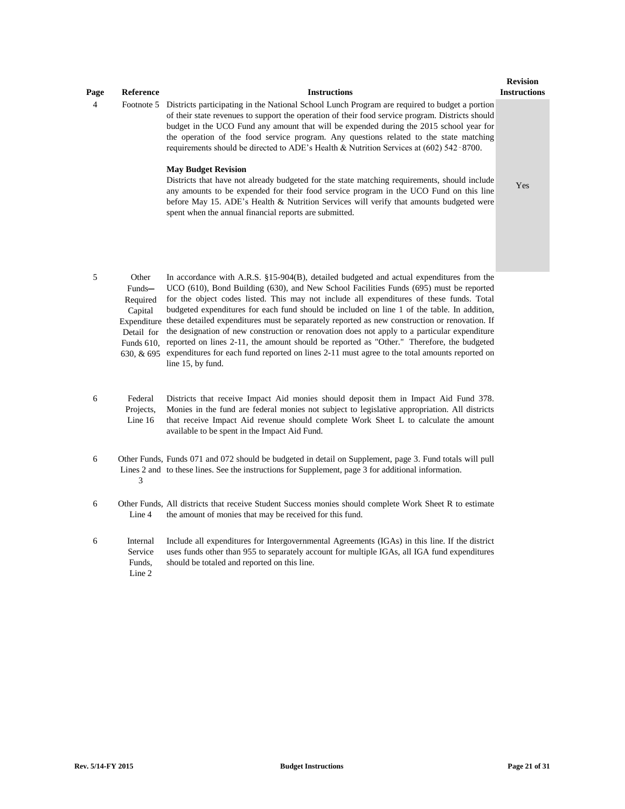| Page | Reference                                       | <b>Instructions</b>                                                                                                                                                                                                                                                                                                                                                                                                                                                                                                                                                                                                                                                                                                                                                                                                                                            | <b>Revision</b><br><b>Instructions</b> |
|------|-------------------------------------------------|----------------------------------------------------------------------------------------------------------------------------------------------------------------------------------------------------------------------------------------------------------------------------------------------------------------------------------------------------------------------------------------------------------------------------------------------------------------------------------------------------------------------------------------------------------------------------------------------------------------------------------------------------------------------------------------------------------------------------------------------------------------------------------------------------------------------------------------------------------------|----------------------------------------|
| 4    | Footnote 5                                      | Districts participating in the National School Lunch Program are required to budget a portion<br>of their state revenues to support the operation of their food service program. Districts should<br>budget in the UCO Fund any amount that will be expended during the 2015 school year for<br>the operation of the food service program. Any questions related to the state matching<br>requirements should be directed to ADE's Health & Nutrition Services at (602) 542-8700.<br><b>May Budget Revision</b><br>Districts that have not already budgeted for the state matching requirements, should include<br>any amounts to be expended for their food service program in the UCO Fund on this line<br>before May 15. ADE's Health & Nutrition Services will verify that amounts budgeted were<br>spent when the annual financial reports are submitted. | Yes                                    |
| 5    | Other<br>Funds-<br>$\mathbf{p}_{\text{anirad}}$ | In accordance with A.R.S. $\S15-904(B)$ , detailed budgeted and actual expenditures from the<br>UCO (610), Bond Building (630), and New School Facilities Funds (695) must be reported<br>for the object codes listed. This may not include all expenditures of these funds. Total                                                                                                                                                                                                                                                                                                                                                                                                                                                                                                                                                                             |                                        |

- Required Capital Expenditure these detailed expenditures must be separately reported as new construction or renovation. If Detail for the designation of new construction or renovation does not apply to a particular expenditure Funds 610, reported on lines 2-11, the amount should be reported as "Other." Therefore, the budgeted 630, & 695 expenditures for each fund reported on lines 2-11 must agree to the total amounts reported on for the object codes listed. This may not include all expenditures of these funds. Total budgeted expenditures for each fund should be included on line 1 of the table. In addition, line 15, by fund.
- 6 Federal Projects, Line 16 Districts that receive Impact Aid monies should deposit them in Impact Aid Fund 378. Monies in the fund are federal monies not subject to legislative appropriation. All districts that receive Impact Aid revenue should complete Work Sheet L to calculate the amount available to be spent in the Impact Aid Fund.
- 6 Other Funds, Funds 071 and 072 should be budgeted in detail on Supplement, page 3. Fund totals will pull Lines 2 and to these lines. See the instructions for Supplement, page 3 for additional information. 3
- 6 Other Funds, All districts that receive Student Success monies should complete Work Sheet R to estimate Line 4 the amount of monies that may be received for this fund.
- 6 Internal Service Funds, Line 2 Include all expenditures for Intergovernmental Agreements (IGAs) in this line. If the district uses funds other than 955 to separately account for multiple IGAs, all IGA fund expenditures should be totaled and reported on this line.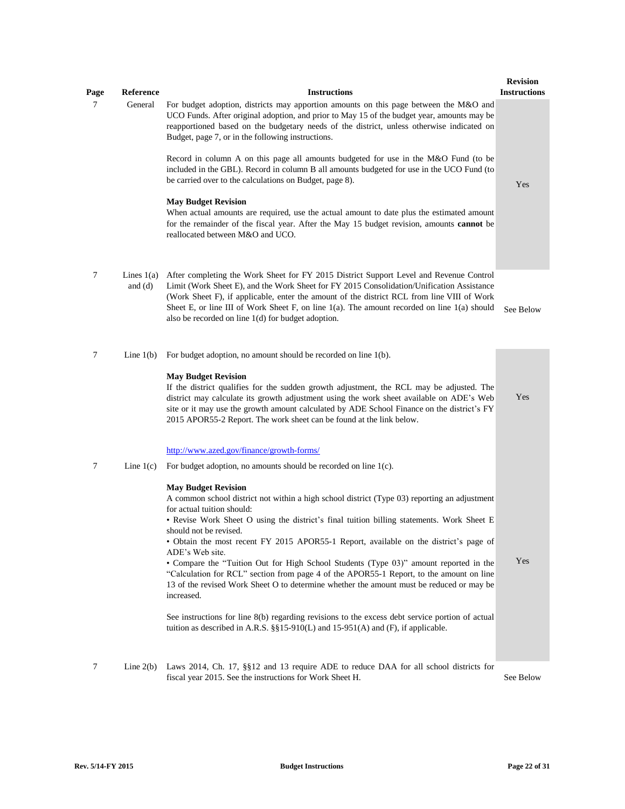| Page | Reference                 | <b>Instructions</b>                                                                                                                                                                                                                                                                                                                                                                                                                                                                                                                                                                                                                                                                                                                                                                                                                                                                                                                                                                                      | <b>Revision</b><br><b>Instructions</b> |
|------|---------------------------|----------------------------------------------------------------------------------------------------------------------------------------------------------------------------------------------------------------------------------------------------------------------------------------------------------------------------------------------------------------------------------------------------------------------------------------------------------------------------------------------------------------------------------------------------------------------------------------------------------------------------------------------------------------------------------------------------------------------------------------------------------------------------------------------------------------------------------------------------------------------------------------------------------------------------------------------------------------------------------------------------------|----------------------------------------|
| 7    | General                   | For budget adoption, districts may apportion amounts on this page between the M&O and<br>UCO Funds. After original adoption, and prior to May 15 of the budget year, amounts may be<br>reapportioned based on the budgetary needs of the district, unless otherwise indicated on<br>Budget, page 7, or in the following instructions.<br>Record in column A on this page all amounts budgeted for use in the M&O Fund (to be<br>included in the GBL). Record in column B all amounts budgeted for use in the UCO Fund (to<br>be carried over to the calculations on Budget, page 8).<br><b>May Budget Revision</b><br>When actual amounts are required, use the actual amount to date plus the estimated amount<br>for the remainder of the fiscal year. After the May 15 budget revision, amounts <b>cannot</b> be<br>reallocated between M&O and UCO.                                                                                                                                                  | Yes                                    |
| 7    | Lines $1(a)$<br>and $(d)$ | After completing the Work Sheet for FY 2015 District Support Level and Revenue Control<br>Limit (Work Sheet E), and the Work Sheet for FY 2015 Consolidation/Unification Assistance<br>(Work Sheet F), if applicable, enter the amount of the district RCL from line VIII of Work<br>Sheet E, or line III of Work Sheet F, on line $1(a)$ . The amount recorded on line $1(a)$ should<br>also be recorded on line $1(d)$ for budget adoption.                                                                                                                                                                                                                                                                                                                                                                                                                                                                                                                                                            | See Below                              |
| 7    | Line $1(b)$               | For budget adoption, no amount should be recorded on line $1(b)$ .<br><b>May Budget Revision</b><br>If the district qualifies for the sudden growth adjustment, the RCL may be adjusted. The<br>district may calculate its growth adjustment using the work sheet available on ADE's Web<br>site or it may use the growth amount calculated by ADE School Finance on the district's FY<br>2015 APOR55-2 Report. The work sheet can be found at the link below.                                                                                                                                                                                                                                                                                                                                                                                                                                                                                                                                           | Yes                                    |
| 7    | Line $1(c)$               | http://www.azed.gov/finance/growth-forms/<br>For budget adoption, no amounts should be recorded on line $1(c)$ .<br><b>May Budget Revision</b><br>A common school district not within a high school district (Type 03) reporting an adjustment<br>for actual tuition should:<br>• Revise Work Sheet O using the district's final tuition billing statements. Work Sheet E<br>should not be revised.<br>• Obtain the most recent FY 2015 APOR55-1 Report, available on the district's page of<br>ADE's Web site.<br>• Compare the "Tuition Out for High School Students (Type 03)" amount reported in the<br>"Calculation for RCL" section from page 4 of the APOR55-1 Report, to the amount on line<br>13 of the revised Work Sheet O to determine whether the amount must be reduced or may be<br>increased.<br>See instructions for line 8(b) regarding revisions to the excess debt service portion of actual<br>tuition as described in A.R.S. $\S$ [15-910(L) and 15-951(A) and (F), if applicable. | Yes                                    |
| 7    | Line $2(b)$               | Laws 2014, Ch. 17, §§12 and 13 require ADE to reduce DAA for all school districts for<br>fiscal year 2015. See the instructions for Work Sheet H.                                                                                                                                                                                                                                                                                                                                                                                                                                                                                                                                                                                                                                                                                                                                                                                                                                                        | See Below                              |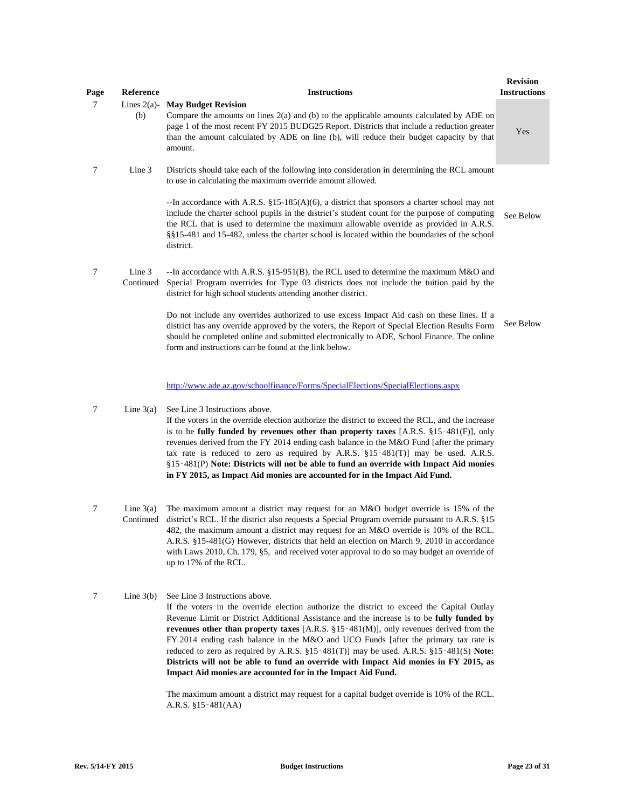| Page | <b>Reference</b>      | <b>Instructions</b>                                                                                                                                                                                                                                                                                                                                                                                        | <b>Revision</b><br><b>Instructions</b> |
|------|-----------------------|------------------------------------------------------------------------------------------------------------------------------------------------------------------------------------------------------------------------------------------------------------------------------------------------------------------------------------------------------------------------------------------------------------|----------------------------------------|
| 7    | Lines $2(a)$ -<br>(b) | <b>May Budget Revision</b><br>Compare the amounts on lines $2(a)$ and (b) to the applicable amounts calculated by ADE on<br>page 1 of the most recent FY 2015 BUDG25 Report. Districts that include a reduction greater<br>than the amount calculated by ADE on line (b), will reduce their budget capacity by that<br>amount.                                                                             | Yes                                    |
| 7    | Line 3                | Districts should take each of the following into consideration in determining the RCL amount<br>to use in calculating the maximum override amount allowed.                                                                                                                                                                                                                                                 |                                        |
|      |                       | --In accordance with A.R.S. $\S15$ -185(A)(6), a district that sponsors a charter school may not<br>include the charter school pupils in the district's student count for the purpose of computing<br>the RCL that is used to determine the maximum allowable override as provided in A.R.S.<br>§§15-481 and 15-482, unless the charter school is located within the boundaries of the school<br>district. | See Below                              |
| 7    | Line 3<br>Continued   | --In accordance with A.R.S. §15-951(B), the RCL used to determine the maximum $M&O$ and<br>Special Program overrides for Type 03 districts does not include the tuition paid by the<br>district for high school students attending another district.                                                                                                                                                       |                                        |
|      |                       | Do not include any overrides authorized to use excess Impact Aid cash on these lines. If a<br>district has any override approved by the voters, the Report of Special Election Results Form<br>should be completed online and submitted electronically to ADE, School Finance. The online<br>form and instructions can be found at the link below.                                                         | See Below                              |

[http://www.ade.az.gov/schoolfinance/Forms/SpecialElections/SpecialElections.aspx](http://www.ade.az.gov/schoolfinance/Forms/SpecialElections/SpecialElections.aspx#)

- 7 Line 3(a) See Line 3 Instructions above. If the voters in the override election authorize the district to exceed the RCL, and the increase is to be **fully funded by revenues other than property taxes** [A.R.S. §15‑481(F)], only revenues derived from the FY 2014 ending cash balance in the M&O Fund [after the primary tax rate is reduced to zero as required by A.R.S. §15-481(T)] may be used. A.R.S. §15‑481(P) **Note: Districts will not be able to fund an override with Impact Aid monies in FY 2015, as Impact Aid monies are accounted for in the Impact Aid Fund.**
- 7 Line 3(a) The maximum amount a district may request for an M&O budget override is 15% of the Continued district's RCL. If the district also requests a Special Program override pursuant to A.R.S. §15-482, the maximum amount a district may request for an M&O override is 10% of the RCL. A.R.S. §15-481(G) However, districts that held an election on March 9, 2010 in accordance with Laws 2010, Ch. 179, §5, and received voter approval to do so may budget an override of up to 17% of the RCL.
- 7 Line 3(b) See Line 3 Instructions above. If the voters in the override election authorize the district to exceed the Capital Outlay Revenue Limit or District Additional Assistance and the increase is to be **fully funded by revenues other than property taxes** [A.R.S. §15‑481(M)], only revenues derived from the FY 2014 ending cash balance in the M&O and UCO Funds [after the primary tax rate is reduced to zero as required by A.R.S. §15‑481(T)] may be used. A.R.S. §15‑481(S) **Note: Districts will not be able to fund an override with Impact Aid monies in FY 2015, as Impact Aid monies are accounted for in the Impact Aid Fund.**

The maximum amount a district may request for a capital budget override is 10% of the RCL. A.R.S. §15‑481(AA)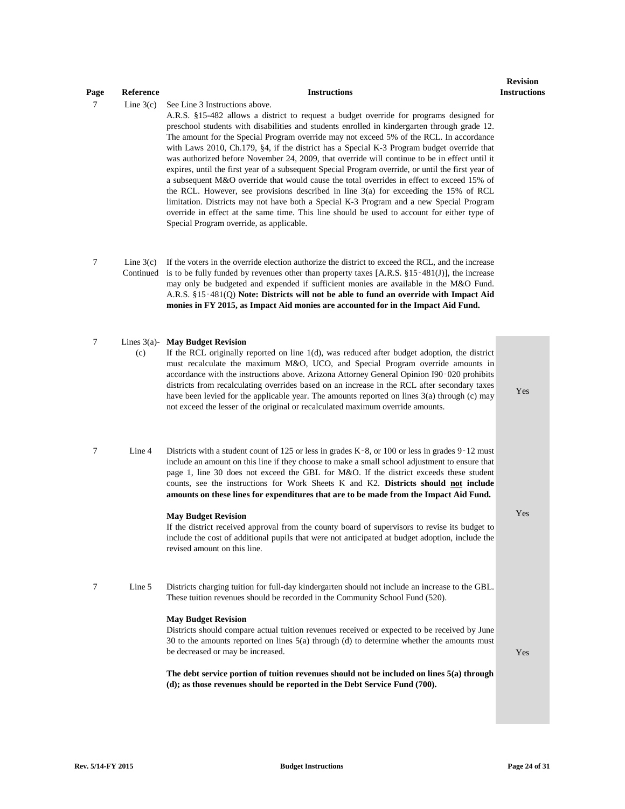## 7 Line 3(c) See Line 3 Instructions above. A.R.S. §15-482 allows a district to request a budget override for programs designed for preschool students with disabilities and students enrolled in kindergarten through grade 12. The amount for the Special Program override may not exceed 5% of the RCL. In accordance with Laws 2010, Ch.179, §4, if the district has a Special K-3 Program budget override that was authorized before November 24, 2009, that override will continue to be in effect until it expires, until the first year of a subsequent Special Program override, or until the first year of a subsequent M&O override that would cause the total overrides in effect to exceed 15% of the RCL. However, see provisions described in line 3(a) for exceeding the 15% of RCL limitation. Districts may not have both a Special K-3 Program and a new Special Program override in effect at the same time. This line should be used to account for either type of Special Program override, as applicable.  $7 \quad \text{Line } 3(c)$ Continued is to be fully funded by revenues other than property taxes [A.R.S. §15-481(J)], the increase If the voters in the override election authorize the district to exceed the RCL, and the increase may only be budgeted and expended if sufficient monies are available in the M&O Fund. A.R.S. §15‑481(Q) **Note: Districts will not be able to fund an override with Impact Aid monies in FY 2015, as Impact Aid monies are accounted for in the Impact Aid Fund.** 7 Lines 3(a)- **May Budget Revision**  $(c)$ If the RCL originally reported on line 1(d), was reduced after budget adoption, the district must recalculate the maximum M&O, UCO, and Special Program override amounts in accordance with the instructions above. Arizona Attorney General Opinion I90‑020 prohibits districts from recalculating overrides based on an increase in the RCL after secondary taxes have been levied for the applicable year. The amounts reported on lines 3(a) through (c) may not exceed the lesser of the original or recalculated maximum override amounts. Yes 7 Line 4 Districts with a student count of 125 or less in grades K‑8, or 100 or less in grades 9‑12 must include an amount on this line if they choose to make a small school adjustment to ensure that page 1, line 30 does not exceed the GBL for M&O. If the district exceeds these student counts, see the instructions for Work Sheets K and K2. **Districts should not include amounts on these lines for expenditures that are to be made from the Impact Aid Fund. May Budget Revision** If the district received approval from the county board of supervisors to revise its budget to include the cost of additional pupils that were not anticipated at budget adoption, include the revised amount on this line. Yes 7 Line 5 Districts charging tuition for full-day kindergarten should not include an increase to the GBL. These tuition revenues should be recorded in the Community School Fund (520). **May Budget Revision** Districts should compare actual tuition revenues received or expected to be received by June 30 to the amounts reported on lines 5(a) through (d) to determine whether the amounts must be decreased or may be increased. **The debt service portion of tuition revenues should not be included on lines 5(a) through (d); as those revenues should be reported in the Debt Service Fund (700).**  Yes

**Page Reference Instructions** 

**Revision Instructions**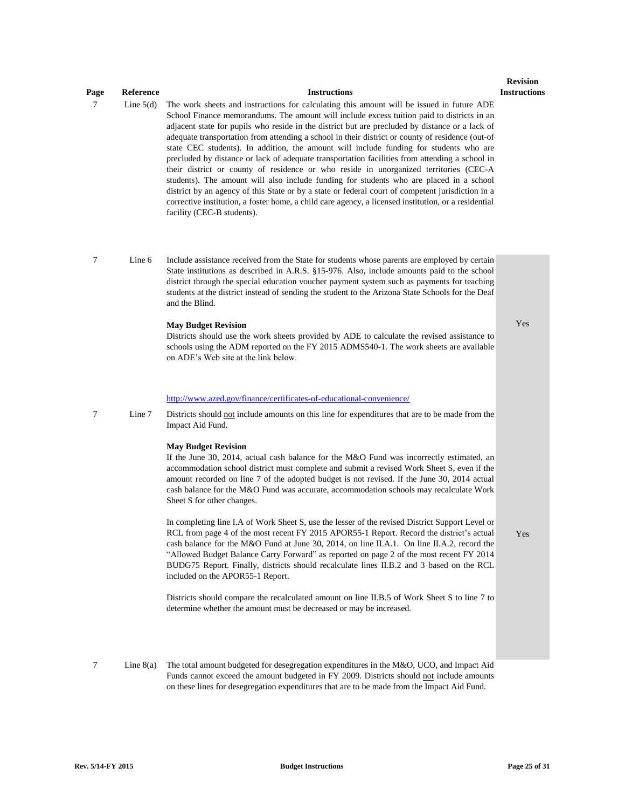# **Page Reference Instructions**

**Revision Instructions**

Yes

Yes

7 Line 5(d) The work sheets and instructions for calculating this amount will be issued in future ADE School Finance memorandums. The amount will include excess tuition paid to districts in an adjacent state for pupils who reside in the district but are precluded by distance or a lack of adequate transportation from attending a school in their district or county of residence (out-ofstate CEC students). In addition, the amount will include funding for students who are precluded by distance or lack of adequate transportation facilities from attending a school in their district or county of residence or who reside in unorganized territories (CEC-A students). The amount will also include funding for students who are placed in a school district by an agency of this State or by a state or federal court of competent jurisdiction in a corrective institution, a foster home, a child care agency, a licensed institution, or a residential facility (CEC-B students).

7 Line 6 Include assistance received from the State for students whose parents are employed by certain State institutions as described in A.R.S. §15-976. Also, include amounts paid to the school district through the special education voucher payment system such as payments for teaching students at the district instead of sending the student to the Arizona State Schools for the Deaf and the Blind.

#### **May Budget Revision**

Districts should use the work sheets provided by ADE to calculate the revised assistance to schools using the ADM reported on the FY 2015 ADMS540-1. The work sheets are available on ADE's Web site at the link below.

### [http://www.azed.gov/finance/certificates-of-educational-convenience/](http://www.azed.gov/finance/certificates-of-educational-convenience/#)

7 Line 7 Districts should not include amounts on this line for expenditures that are to be made from the Impact Aid Fund.

#### **May Budget Revision**

If the June 30, 2014, actual cash balance for the M&O Fund was incorrectly estimated, an accommodation school district must complete and submit a revised Work Sheet S, even if the amount recorded on line 7 of the adopted budget is not revised. If the June 30, 2014 actual cash balance for the M&O Fund was accurate, accommodation schools may recalculate Work Sheet S for other changes.

In completing line I.A of Work Sheet S, use the lesser of the revised District Support Level or RCL from page 4 of the most recent FY 2015 APOR55-1 Report. Record the district's actual cash balance for the M&O Fund at June 30, 2014, on line II.A.1. On line II.A.2, record the "Allowed Budget Balance Carry Forward" as reported on page 2 of the most recent FY 2014 BUDG75 Report. Finally, districts should recalculate lines II.B.2 and 3 based on the RCL included on the APOR55-1 Report.

Districts should compare the recalculated amount on line II.B.5 of Work Sheet S to line 7 to determine whether the amount must be decreased or may be increased.

7 Line 8(a) The total amount budgeted for desegregation expenditures in the M&O, UCO, and Impact Aid Funds cannot exceed the amount budgeted in FY 2009. Districts should not include amounts on these lines for desegregation expenditures that are to be made from the Impact Aid Fund.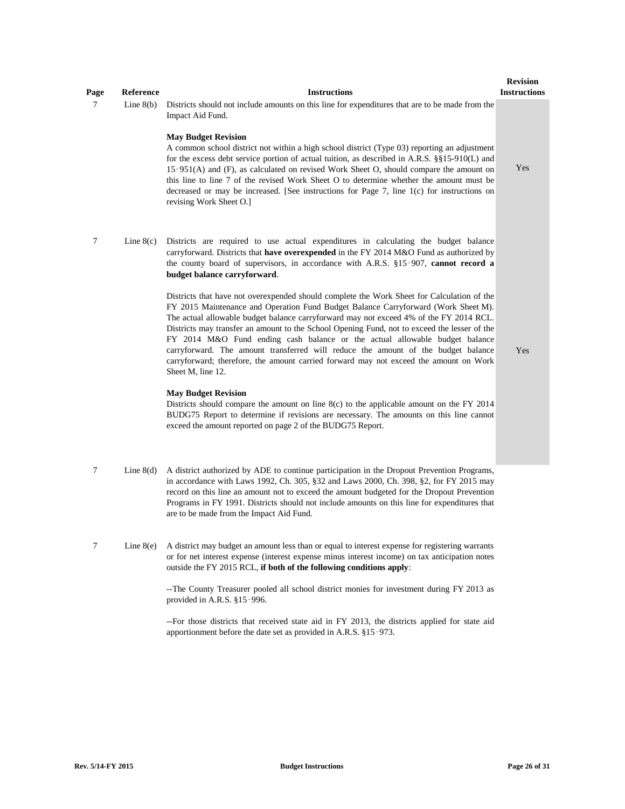| Page   | Reference   | <b>Instructions</b>                                                                                                                                                                                                                                                                                                                                                                                                                                                                                                                                                                                                                                                                                                                                                                                                                                                                                                                                                                                                                                                                                                                                                                                                                                       | <b>Revision</b><br><b>Instructions</b> |
|--------|-------------|-----------------------------------------------------------------------------------------------------------------------------------------------------------------------------------------------------------------------------------------------------------------------------------------------------------------------------------------------------------------------------------------------------------------------------------------------------------------------------------------------------------------------------------------------------------------------------------------------------------------------------------------------------------------------------------------------------------------------------------------------------------------------------------------------------------------------------------------------------------------------------------------------------------------------------------------------------------------------------------------------------------------------------------------------------------------------------------------------------------------------------------------------------------------------------------------------------------------------------------------------------------|----------------------------------------|
| $\tau$ | Line $8(b)$ | Districts should not include amounts on this line for expenditures that are to be made from the<br>Impact Aid Fund.<br><b>May Budget Revision</b><br>A common school district not within a high school district (Type 03) reporting an adjustment<br>for the excess debt service portion of actual tuition, as described in A.R.S. §§15-910(L) and<br>15-951(A) and (F), as calculated on revised Work Sheet O, should compare the amount on<br>this line to line 7 of the revised Work Sheet O to determine whether the amount must be<br>decreased or may be increased. [See instructions for Page 7, line 1(c) for instructions on<br>revising Work Sheet O.]                                                                                                                                                                                                                                                                                                                                                                                                                                                                                                                                                                                          | Yes                                    |
| $\tau$ | Line $8(c)$ | Districts are required to use actual expenditures in calculating the budget balance<br>carryforward. Districts that have overexpended in the FY 2014 M&O Fund as authorized by<br>the county board of supervisors, in accordance with A.R.S. §15-907, cannot record a<br>budget balance carryforward.<br>Districts that have not overexpended should complete the Work Sheet for Calculation of the<br>FY 2015 Maintenance and Operation Fund Budget Balance Carryforward (Work Sheet M).<br>The actual allowable budget balance carryforward may not exceed 4% of the FY 2014 RCL.<br>Districts may transfer an amount to the School Opening Fund, not to exceed the lesser of the<br>FY 2014 M&O Fund ending cash balance or the actual allowable budget balance<br>carryforward. The amount transferred will reduce the amount of the budget balance<br>carryforward; therefore, the amount carried forward may not exceed the amount on Work<br>Sheet M, line 12.<br><b>May Budget Revision</b><br>Districts should compare the amount on line $8(c)$ to the applicable amount on the FY 2014<br>BUDG75 Report to determine if revisions are necessary. The amounts on this line cannot<br>exceed the amount reported on page 2 of the BUDG75 Report. | Yes                                    |
| 7      | Line $8(d)$ | A district authorized by ADE to continue participation in the Dropout Prevention Programs,<br>in accordance with Laws 1992, Ch. 305, §32 and Laws 2000, Ch. 398, §2, for FY 2015 may<br>record on this line an amount not to exceed the amount budgeted for the Dropout Prevention                                                                                                                                                                                                                                                                                                                                                                                                                                                                                                                                                                                                                                                                                                                                                                                                                                                                                                                                                                        |                                        |

- Programs in FY 1991. Districts should not include amounts on this line for expenditures that are to be made from the Impact Aid Fund.
- 7 Line 8(e) A district may budget an amount less than or equal to interest expense for registering warrants or for net interest expense (interest expense minus interest income) on tax anticipation notes outside the FY 2015 RCL, **if both of the following conditions apply**:

--The County Treasurer pooled all school district monies for investment during FY 2013 as provided in A.R.S. §15‑996.

--For those districts that received state aid in FY 2013, the districts applied for state aid apportionment before the date set as provided in A.R.S. §15‑973.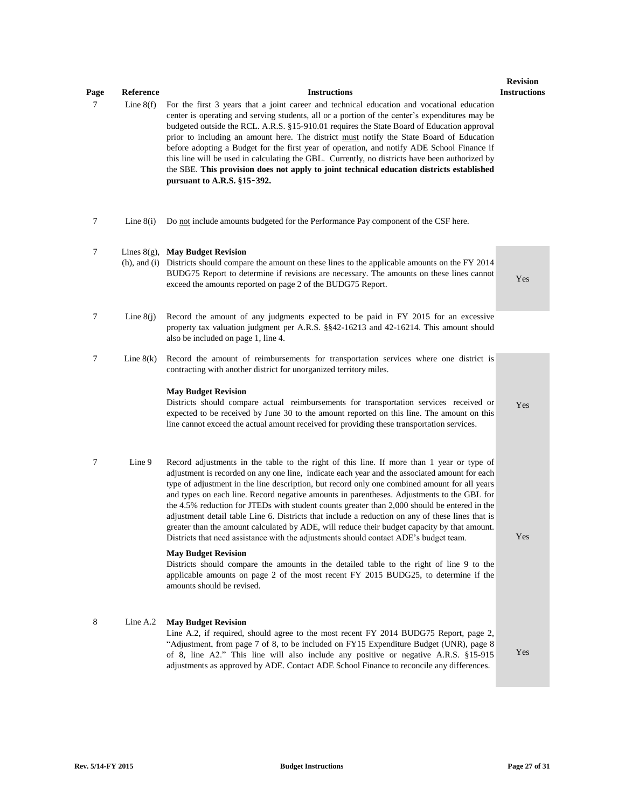| Page | Reference   | <b>Instructions</b>                                                                                                                                                                                                                                                                                                                                                                                                                                                                                                                                                                                                                                                                                                                                                                    | <b>Revision</b><br><b>Instructions</b> |
|------|-------------|----------------------------------------------------------------------------------------------------------------------------------------------------------------------------------------------------------------------------------------------------------------------------------------------------------------------------------------------------------------------------------------------------------------------------------------------------------------------------------------------------------------------------------------------------------------------------------------------------------------------------------------------------------------------------------------------------------------------------------------------------------------------------------------|----------------------------------------|
| 7    | Line $8(f)$ | For the first 3 years that a joint career and technical education and vocational education<br>center is operating and serving students, all or a portion of the center's expenditures may be<br>budgeted outside the RCL. A.R.S. §15-910.01 requires the State Board of Education approval<br>prior to including an amount here. The district must notify the State Board of Education<br>before adopting a Budget for the first year of operation, and notify ADE School Finance if<br>this line will be used in calculating the GBL. Currently, no districts have been authorized by<br>the SBE. This provision does not apply to joint technical education districts established<br>pursuant to A.R.S. $§15-392$ .                                                                  |                                        |
| 7    | Line $8(i)$ | Do not include amounts budgeted for the Performance Pay component of the CSF here.                                                                                                                                                                                                                                                                                                                                                                                                                                                                                                                                                                                                                                                                                                     |                                        |
| 7    |             | Lines $8(g)$ , May Budget Revision<br>(h), and (i) Districts should compare the amount on these lines to the applicable amounts on the FY 2014<br>BUDG75 Report to determine if revisions are necessary. The amounts on these lines cannot<br>exceed the amounts reported on page 2 of the BUDG75 Report.                                                                                                                                                                                                                                                                                                                                                                                                                                                                              | Yes                                    |
| 7    | Line $8(i)$ | Record the amount of any judgments expected to be paid in FY 2015 for an excessive<br>property tax valuation judgment per A.R.S. §§42-16213 and 42-16214. This amount should<br>also be included on page 1, line 4.                                                                                                                                                                                                                                                                                                                                                                                                                                                                                                                                                                    |                                        |
| 7    | Line $8(k)$ | Record the amount of reimbursements for transportation services where one district is<br>contracting with another district for unorganized territory miles.                                                                                                                                                                                                                                                                                                                                                                                                                                                                                                                                                                                                                            |                                        |
|      |             | <b>May Budget Revision</b><br>Districts should compare actual reimbursements for transportation services received or<br>expected to be received by June 30 to the amount reported on this line. The amount on this<br>line cannot exceed the actual amount received for providing these transportation services.                                                                                                                                                                                                                                                                                                                                                                                                                                                                       | Yes                                    |
| 7    | Line 9      | Record adjustments in the table to the right of this line. If more than 1 year or type of<br>adjustment is recorded on any one line, indicate each year and the associated amount for each<br>type of adjustment in the line description, but record only one combined amount for all years<br>and types on each line. Record negative amounts in parentheses. Adjustments to the GBL for<br>the 4.5% reduction for JTEDs with student counts greater than 2,000 should be entered in the<br>adjustment detail table Line 6. Districts that include a reduction on any of these lines that is<br>greater than the amount calculated by ADE, will reduce their budget capacity by that amount.<br>Districts that need assistance with the adjustments should contact ADE's budget team. | Yes                                    |
|      |             | <b>May Budget Revision</b><br>Districts should compare the amounts in the detailed table to the right of line 9 to the<br>applicable amounts on page 2 of the most recent FY 2015 BUDG25, to determine if the<br>amounts should be revised.                                                                                                                                                                                                                                                                                                                                                                                                                                                                                                                                            |                                        |
| 8    | Line A.2    | <b>May Budget Revision</b><br>Line A.2, if required, should agree to the most recent FY 2014 BUDG75 Report, page 2,<br>"Adjustment, from page 7 of 8, to be included on FY15 Expenditure Budget (UNR), page 8<br>of 8, line A2." This line will also include any positive or negative A.R.S. §15-915<br>adjustments as approved by ADE. Contact ADE School Finance to reconcile any differences.                                                                                                                                                                                                                                                                                                                                                                                       | Yes                                    |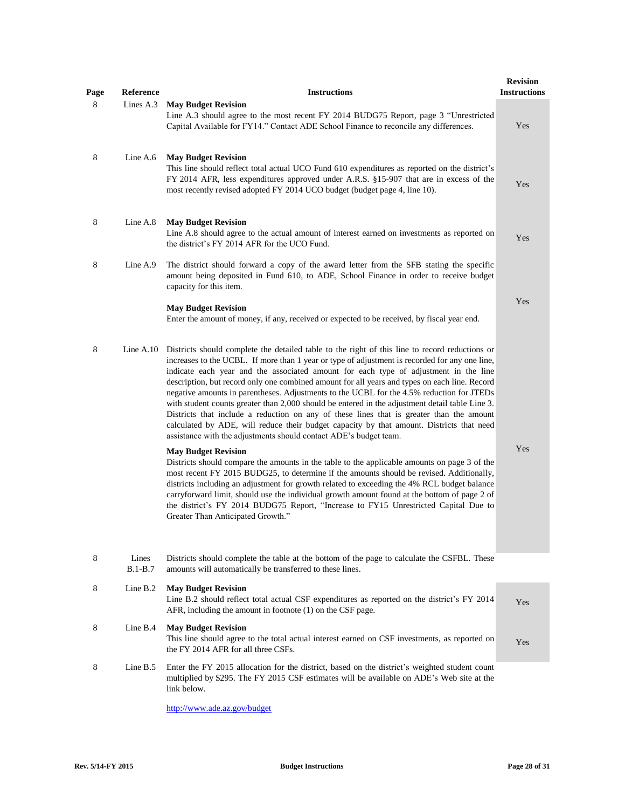| Page | Reference          | <b>Instructions</b>                                                                                                                                                                                                                                                                                                                                                                                                                                                                                                                                                                                                                                                                                                                                                                                                                                    | <b>Revision</b><br><b>Instructions</b> |
|------|--------------------|--------------------------------------------------------------------------------------------------------------------------------------------------------------------------------------------------------------------------------------------------------------------------------------------------------------------------------------------------------------------------------------------------------------------------------------------------------------------------------------------------------------------------------------------------------------------------------------------------------------------------------------------------------------------------------------------------------------------------------------------------------------------------------------------------------------------------------------------------------|----------------------------------------|
| 8    | Lines A.3          | <b>May Budget Revision</b><br>Line A.3 should agree to the most recent FY 2014 BUDG75 Report, page 3 "Unrestricted<br>Capital Available for FY14." Contact ADE School Finance to reconcile any differences.                                                                                                                                                                                                                                                                                                                                                                                                                                                                                                                                                                                                                                            | Yes                                    |
| 8    | Line $A.6$         | <b>May Budget Revision</b><br>This line should reflect total actual UCO Fund 610 expenditures as reported on the district's<br>FY 2014 AFR, less expenditures approved under A.R.S. §15-907 that are in excess of the<br>most recently revised adopted FY 2014 UCO budget (budget page 4, line 10).                                                                                                                                                                                                                                                                                                                                                                                                                                                                                                                                                    | Yes                                    |
| 8    | Line A.8           | <b>May Budget Revision</b><br>Line A.8 should agree to the actual amount of interest earned on investments as reported on<br>the district's FY 2014 AFR for the UCO Fund.                                                                                                                                                                                                                                                                                                                                                                                                                                                                                                                                                                                                                                                                              | Yes                                    |
| 8    | Line A.9           | The district should forward a copy of the award letter from the SFB stating the specific<br>amount being deposited in Fund 610, to ADE, School Finance in order to receive budget<br>capacity for this item.<br><b>May Budget Revision</b><br>Enter the amount of money, if any, received or expected to be received, by fiscal year end.                                                                                                                                                                                                                                                                                                                                                                                                                                                                                                              | Yes                                    |
| 8    | Line $A.10$        | Districts should complete the detailed table to the right of this line to record reductions or<br>increases to the UCBL. If more than 1 year or type of adjustment is recorded for any one line,<br>indicate each year and the associated amount for each type of adjustment in the line<br>description, but record only one combined amount for all years and types on each line. Record<br>negative amounts in parentheses. Adjustments to the UCBL for the 4.5% reduction for JTEDs<br>with student counts greater than 2,000 should be entered in the adjustment detail table Line 3.<br>Districts that include a reduction on any of these lines that is greater than the amount<br>calculated by ADE, will reduce their budget capacity by that amount. Districts that need<br>assistance with the adjustments should contact ADE's budget team. |                                        |
|      |                    | <b>May Budget Revision</b><br>Districts should compare the amounts in the table to the applicable amounts on page 3 of the<br>most recent FY 2015 BUDG25, to determine if the amounts should be revised. Additionally,<br>districts including an adjustment for growth related to exceeding the 4% RCL budget balance<br>carryforward limit, should use the individual growth amount found at the bottom of page 2 of<br>the district's FY 2014 BUDG75 Report, "Increase to FY15 Unrestricted Capital Due to<br>Greater Than Anticipated Growth."                                                                                                                                                                                                                                                                                                      | Yes                                    |
| 8    | Lines<br>$B.1-B.7$ | Districts should complete the table at the bottom of the page to calculate the CSFBL. These<br>amounts will automatically be transferred to these lines.                                                                                                                                                                                                                                                                                                                                                                                                                                                                                                                                                                                                                                                                                               |                                        |
| 8    | Line B.2           | <b>May Budget Revision</b><br>Line B.2 should reflect total actual CSF expenditures as reported on the district's FY 2014<br>AFR, including the amount in footnote (1) on the CSF page.                                                                                                                                                                                                                                                                                                                                                                                                                                                                                                                                                                                                                                                                | Yes                                    |
| 8    | Line B.4           | <b>May Budget Revision</b><br>This line should agree to the total actual interest earned on CSF investments, as reported on<br>the FY 2014 AFR for all three CSFs.                                                                                                                                                                                                                                                                                                                                                                                                                                                                                                                                                                                                                                                                                     | Yes                                    |
| 8    | Line $B.5$         | Enter the FY 2015 allocation for the district, based on the district's weighted student count<br>multiplied by \$295. The FY 2015 CSF estimates will be available on ADE's Web site at the<br>link below.                                                                                                                                                                                                                                                                                                                                                                                                                                                                                                                                                                                                                                              |                                        |
|      |                    | http://www.ade.az.gov/budget                                                                                                                                                                                                                                                                                                                                                                                                                                                                                                                                                                                                                                                                                                                                                                                                                           |                                        |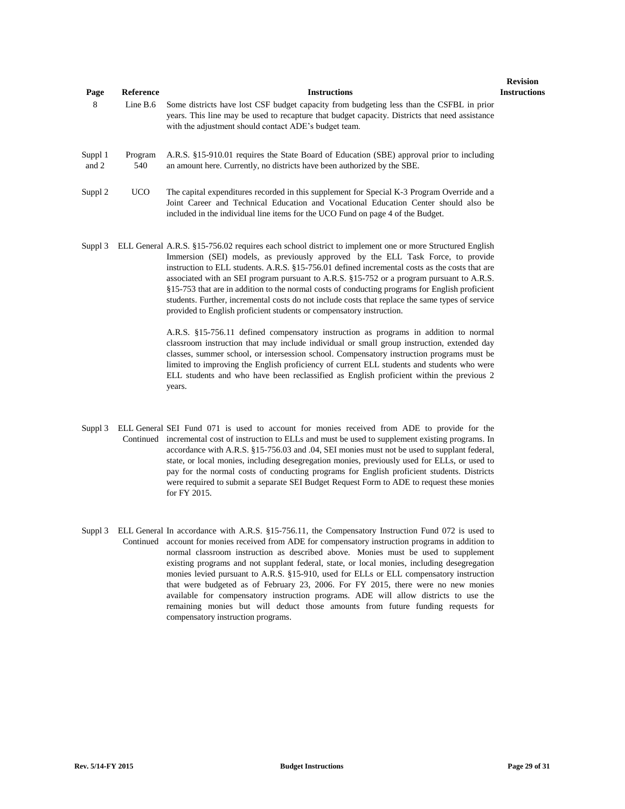| Page             | Reference      | <b>Instructions</b>                                                                                                                                                                                                                                                                                                                                                                                                                                                                                                                                                                                                                                                      | <b>Revision</b><br><b>Instructions</b> |
|------------------|----------------|--------------------------------------------------------------------------------------------------------------------------------------------------------------------------------------------------------------------------------------------------------------------------------------------------------------------------------------------------------------------------------------------------------------------------------------------------------------------------------------------------------------------------------------------------------------------------------------------------------------------------------------------------------------------------|----------------------------------------|
| 8                | Line $B.6$     | Some districts have lost CSF budget capacity from budgeting less than the CSFBL in prior<br>years. This line may be used to recapture that budget capacity. Districts that need assistance<br>with the adjustment should contact ADE's budget team.                                                                                                                                                                                                                                                                                                                                                                                                                      |                                        |
| Suppl 1<br>and 2 | Program<br>540 | A.R.S. §15-910.01 requires the State Board of Education (SBE) approval prior to including<br>an amount here. Currently, no districts have been authorized by the SBE.                                                                                                                                                                                                                                                                                                                                                                                                                                                                                                    |                                        |
| Suppl 2          | <b>UCO</b>     | The capital expenditures recorded in this supplement for Special K-3 Program Override and a<br>Joint Career and Technical Education and Vocational Education Center should also be<br>included in the individual line items for the UCO Fund on page 4 of the Budget.                                                                                                                                                                                                                                                                                                                                                                                                    |                                        |
| Suppl 3          |                | ELL General A.R.S. §15-756.02 requires each school district to implement one or more Structured English<br>Immersion (SEI) models, as previously approved by the ELL Task Force, to provide<br>instruction to ELL students. A.R.S. §15-756.01 defined incremental costs as the costs that are<br>associated with an SEI program pursuant to A.R.S. §15-752 or a program pursuant to A.R.S.<br>§15-753 that are in addition to the normal costs of conducting programs for English proficient<br>students. Further, incremental costs do not include costs that replace the same types of service<br>provided to English proficient students or compensatory instruction. |                                        |
|                  |                | A.R.S. §15-756.11 defined compensatory instruction as programs in addition to normal<br>classroom instruction that may include individual or small group instruction, extended day<br>classes, summer school, or intersession school. Compensatory instruction programs must be<br>limited to improving the English proficiency of current ELL students and students who were<br>ELL students and who have been reclassified as English proficient within the previous 2                                                                                                                                                                                                 |                                        |

Suppl 3 ELL General SEI Fund 071 is used to account for monies received from ADE to provide for the Continued incremental cost of instruction to ELLs and must be used to supplement existing programs. In accordance with A.R.S. §15-756.03 and .04, SEI monies must not be used to supplant federal, state, or local monies, including desegregation monies, previously used for ELLs, or used to pay for the normal costs of conducting programs for English proficient students. Districts were required to submit a separate SEI Budget Request Form to ADE to request these monies for FY 2015.

years.

Suppl 3 ELL General In accordance with A.R.S. §15-756.11, the Compensatory Instruction Fund 072 is used to Continued account for monies received from ADE for compensatory instruction programs in addition to normal classroom instruction as described above. Monies must be used to supplement existing programs and not supplant federal, state, or local monies, including desegregation monies levied pursuant to A.R.S. §15-910, used for ELLs or ELL compensatory instruction that were budgeted as of February 23, 2006. For FY 2015, there were no new monies available for compensatory instruction programs. ADE will allow districts to use the remaining monies but will deduct those amounts from future funding requests for compensatory instruction programs.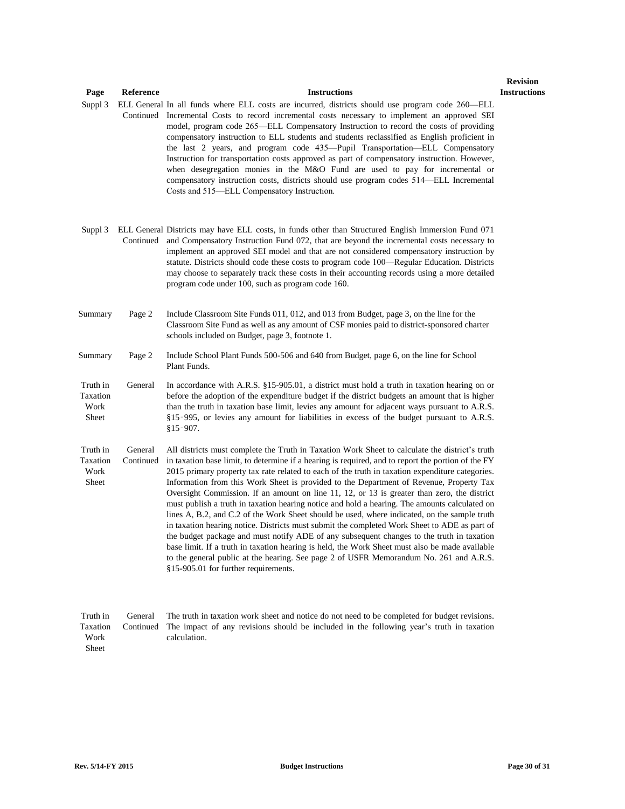| Page                                  | Reference            | <b>Instructions</b>                                                                                                                                                                                                                                                                                                                                                                                                                                                                                                                                                                                                                                                                                                                                                                                                                                                                                                                                                                                                                                                                                                                 | <b>Revis</b><br>Instruc |
|---------------------------------------|----------------------|-------------------------------------------------------------------------------------------------------------------------------------------------------------------------------------------------------------------------------------------------------------------------------------------------------------------------------------------------------------------------------------------------------------------------------------------------------------------------------------------------------------------------------------------------------------------------------------------------------------------------------------------------------------------------------------------------------------------------------------------------------------------------------------------------------------------------------------------------------------------------------------------------------------------------------------------------------------------------------------------------------------------------------------------------------------------------------------------------------------------------------------|-------------------------|
| Suppl 3                               |                      | ELL General In all funds where ELL costs are incurred, districts should use program code 260-ELL<br>Continued Incremental Costs to record incremental costs necessary to implement an approved SEI<br>model, program code 265—ELL Compensatory Instruction to record the costs of providing<br>compensatory instruction to ELL students and students reclassified as English proficient in<br>the last 2 years, and program code 435—Pupil Transportation—ELL Compensatory<br>Instruction for transportation costs approved as part of compensatory instruction. However,<br>when desegregation monies in the M&O Fund are used to pay for incremental or<br>compensatory instruction costs, districts should use program codes 514—ELL Incremental<br>Costs and 515—ELL Compensatory Instruction.                                                                                                                                                                                                                                                                                                                                  |                         |
| Suppl 3                               |                      | ELL General Districts may have ELL costs, in funds other than Structured English Immersion Fund 071<br>Continued and Compensatory Instruction Fund 072, that are beyond the incremental costs necessary to<br>implement an approved SEI model and that are not considered compensatory instruction by<br>statute. Districts should code these costs to program code 100—Regular Education. Districts<br>may choose to separately track these costs in their accounting records using a more detailed<br>program code under 100, such as program code 160.                                                                                                                                                                                                                                                                                                                                                                                                                                                                                                                                                                           |                         |
| Summary                               | Page 2               | Include Classroom Site Funds 011, 012, and 013 from Budget, page 3, on the line for the<br>Classroom Site Fund as well as any amount of CSF monies paid to district-sponsored charter<br>schools included on Budget, page 3, footnote 1.                                                                                                                                                                                                                                                                                                                                                                                                                                                                                                                                                                                                                                                                                                                                                                                                                                                                                            |                         |
| Summary                               | Page 2               | Include School Plant Funds 500-506 and 640 from Budget, page 6, on the line for School<br>Plant Funds.                                                                                                                                                                                                                                                                                                                                                                                                                                                                                                                                                                                                                                                                                                                                                                                                                                                                                                                                                                                                                              |                         |
| Truth in<br>Taxation<br>Work<br>Sheet | General              | In accordance with A.R.S. $\S 15-905.01$ , a district must hold a truth in taxation hearing on or<br>before the adoption of the expenditure budget if the district budgets an amount that is higher<br>than the truth in taxation base limit, levies any amount for adjacent ways pursuant to A.R.S.<br>§15-995, or levies any amount for liabilities in excess of the budget pursuant to A.R.S.<br>$§15 - 907.$                                                                                                                                                                                                                                                                                                                                                                                                                                                                                                                                                                                                                                                                                                                    |                         |
| Truth in<br>Taxation<br>Work<br>Sheet | General<br>Continued | All districts must complete the Truth in Taxation Work Sheet to calculate the district's truth<br>in taxation base limit, to determine if a hearing is required, and to report the portion of the FY<br>2015 primary property tax rate related to each of the truth in taxation expenditure categories.<br>Information from this Work Sheet is provided to the Department of Revenue, Property Tax<br>Oversight Commission. If an amount on line 11, 12, or 13 is greater than zero, the district<br>must publish a truth in taxation hearing notice and hold a hearing. The amounts calculated on<br>lines A, B.2, and C.2 of the Work Sheet should be used, where indicated, on the sample truth<br>in taxation hearing notice. Districts must submit the completed Work Sheet to ADE as part of<br>the budget package and must notify ADE of any subsequent changes to the truth in taxation<br>base limit. If a truth in taxation hearing is held, the Work Sheet must also be made available<br>to the general public at the hearing. See page 2 of USFR Memorandum No. 261 and A.R.S.<br>§15-905.01 for further requirements. |                         |
| Truth in                              | General              | The truth in taxation work sheet and notice do not need to be completed for budget revisions.                                                                                                                                                                                                                                                                                                                                                                                                                                                                                                                                                                                                                                                                                                                                                                                                                                                                                                                                                                                                                                       |                         |

Work Sheet

calculation.

Taxation Continued The impact of any revisions should be included in the following year's truth in taxation